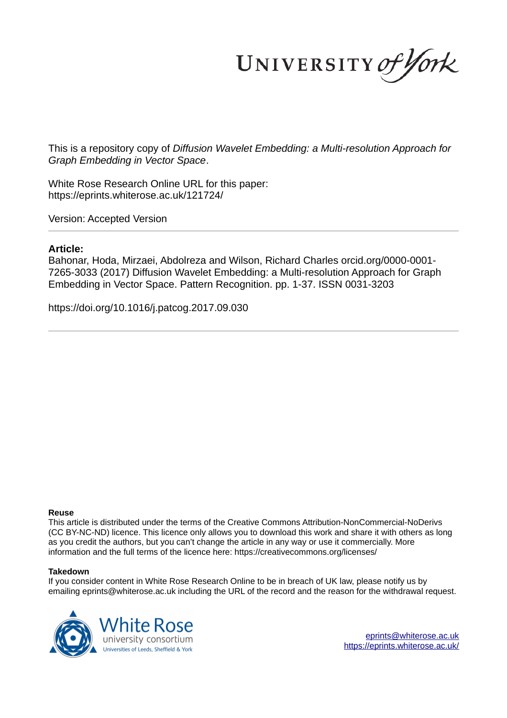UNIVERSITY of York

This is a repository copy of *Diffusion Wavelet Embedding: a Multi-resolution Approach for Graph Embedding in Vector Space*.

White Rose Research Online URL for this paper: https://eprints.whiterose.ac.uk/121724/

Version: Accepted Version

# **Article:**

Bahonar, Hoda, Mirzaei, Abdolreza and Wilson, Richard Charles orcid.org/0000-0001- 7265-3033 (2017) Diffusion Wavelet Embedding: a Multi-resolution Approach for Graph Embedding in Vector Space. Pattern Recognition. pp. 1-37. ISSN 0031-3203

https://doi.org/10.1016/j.patcog.2017.09.030

# **Reuse**

This article is distributed under the terms of the Creative Commons Attribution-NonCommercial-NoDerivs (CC BY-NC-ND) licence. This licence only allows you to download this work and share it with others as long as you credit the authors, but you can't change the article in any way or use it commercially. More information and the full terms of the licence here: https://creativecommons.org/licenses/

# **Takedown**

If you consider content in White Rose Research Online to be in breach of UK law, please notify us by emailing eprints@whiterose.ac.uk including the URL of the record and the reason for the withdrawal request.



eprints@whiterose.ac.uk https://eprints.whiterose.ac.uk/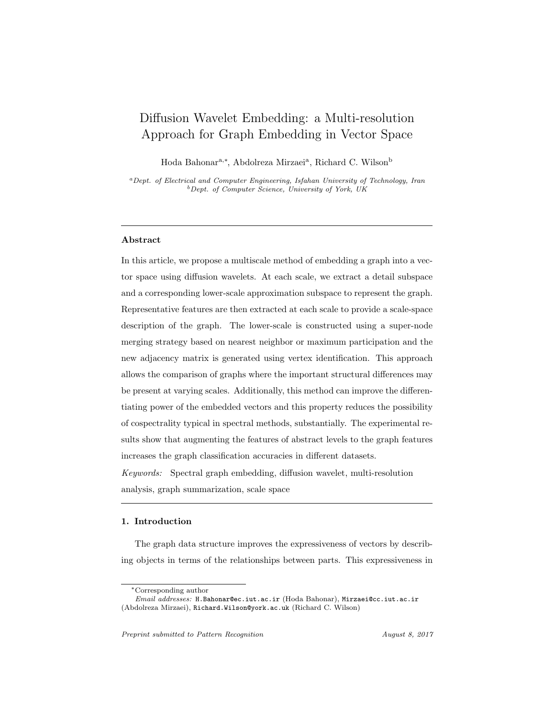# Diffusion Wavelet Embedding: a Multi-resolution Approach for Graph Embedding in Vector Space

Hoda Bahonar<sup>a,∗</sup>, Abdolreza Mirzaei<sup>a</sup>, Richard C. Wilson<sup>b</sup>

<sup>a</sup>*Dept. of Electrical and Computer Engineering, Isfahan University of Technology, Iran* <sup>b</sup>*Dept. of Computer Science, University of York, UK*

# Abstract

In this article, we propose a multiscale method of embedding a graph into a vector space using diffusion wavelets. At each scale, we extract a detail subspace and a corresponding lower-scale approximation subspace to represent the graph. Representative features are then extracted at each scale to provide a scale-space description of the graph. The lower-scale is constructed using a super-node merging strategy based on nearest neighbor or maximum participation and the new adjacency matrix is generated using vertex identification. This approach allows the comparison of graphs where the important structural differences may be present at varying scales. Additionally, this method can improve the differentiating power of the embedded vectors and this property reduces the possibility of cospectrality typical in spectral methods, substantially. The experimental results show that augmenting the features of abstract levels to the graph features increases the graph classification accuracies in different datasets.

Keywords: Spectral graph embedding, diffusion wavelet, multi-resolution analysis, graph summarization, scale space

## 1. Introduction

The graph data structure improves the expressiveness of vectors by describing objects in terms of the relationships between parts. This expressiveness in

<sup>∗</sup>Corresponding author

*Email addresses:* H.Bahonar@ec.iut.ac.ir (Hoda Bahonar), Mirzaei@cc.iut.ac.ir (Abdolreza Mirzaei), Richard.Wilson@york.ac.uk (Richard C. Wilson)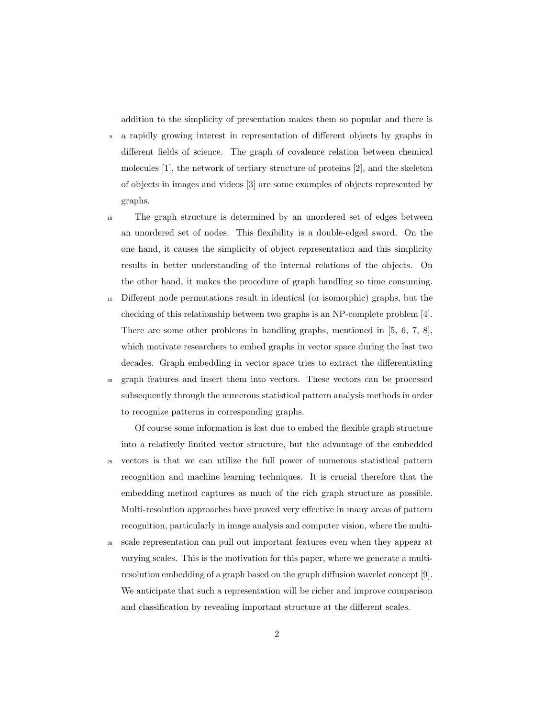addition to the simplicity of presentation makes them so popular and there is

<sup>5</sup> a rapidly growing interest in representation of different objects by graphs in different fields of science. The graph of covalence relation between chemical molecules [1], the network of tertiary structure of proteins [2], and the skeleton of objects in images and videos [3] are some examples of objects represented by graphs.

<sup>10</sup> The graph structure is determined by an unordered set of edges between an unordered set of nodes. This flexibility is a double-edged sword. On the one hand, it causes the simplicity of object representation and this simplicity results in better understanding of the internal relations of the objects. On the other hand, it makes the procedure of graph handling so time consuming.

- <sup>15</sup> Different node permutations result in identical (or isomorphic) graphs, but the checking of this relationship between two graphs is an NP-complete problem [4]. There are some other problems in handling graphs, mentioned in [5, 6, 7, 8], which motivate researchers to embed graphs in vector space during the last two decades. Graph embedding in vector space tries to extract the differentiating
- <sup>20</sup> graph features and insert them into vectors. These vectors can be processed subsequently through the numerous statistical pattern analysis methods in order to recognize patterns in corresponding graphs.

Of course some information is lost due to embed the flexible graph structure into a relatively limited vector structure, but the advantage of the embedded <sup>25</sup> vectors is that we can utilize the full power of numerous statistical pattern recognition and machine learning techniques. It is crucial therefore that the embedding method captures as much of the rich graph structure as possible. Multi-resolution approaches have proved very effective in many areas of pattern recognition, particularly in image analysis and computer vision, where the multi-

<sup>30</sup> scale representation can pull out important features even when they appear at varying scales. This is the motivation for this paper, where we generate a multiresolution embedding of a graph based on the graph diffusion wavelet concept [9]. We anticipate that such a representation will be richer and improve comparison and classification by revealing important structure at the different scales.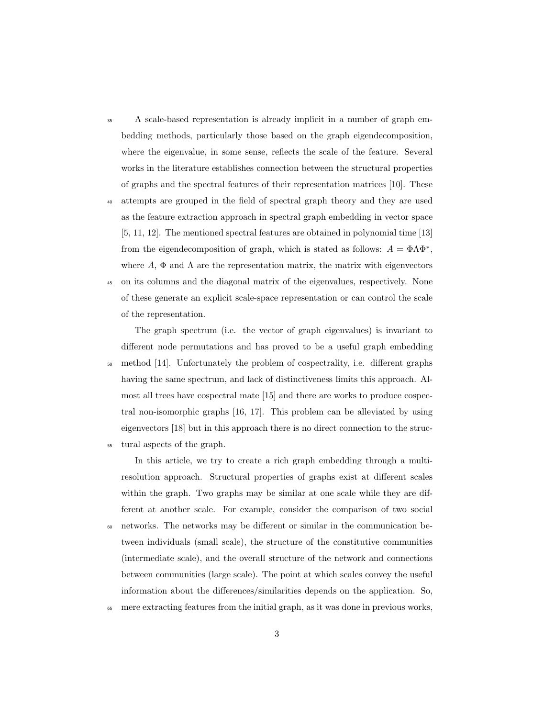<sup>35</sup> A scale-based representation is already implicit in a number of graph embedding methods, particularly those based on the graph eigendecomposition, where the eigenvalue, in some sense, reflects the scale of the feature. Several works in the literature establishes connection between the structural properties of graphs and the spectral features of their representation matrices [10]. These

<sup>40</sup> attempts are grouped in the field of spectral graph theory and they are used as the feature extraction approach in spectral graph embedding in vector space [5, 11, 12]. The mentioned spectral features are obtained in polynomial time [13] from the eigendecomposition of graph, which is stated as follows:  $A = \Phi \Lambda \Phi^*$ , where A,  $\Phi$  and  $\Lambda$  are the representation matrix, the matrix with eigenvectors

<sup>45</sup> on its columns and the diagonal matrix of the eigenvalues, respectively. None of these generate an explicit scale-space representation or can control the scale of the representation.

The graph spectrum (i.e. the vector of graph eigenvalues) is invariant to different node permutations and has proved to be a useful graph embedding <sup>50</sup> method [14]. Unfortunately the problem of cospectrality, i.e. different graphs having the same spectrum, and lack of distinctiveness limits this approach. Almost all trees have cospectral mate [15] and there are works to produce cospectral non-isomorphic graphs [16, 17]. This problem can be alleviated by using eigenvectors [18] but in this approach there is no direct connection to the struc-

<sup>55</sup> tural aspects of the graph.

In this article, we try to create a rich graph embedding through a multiresolution approach. Structural properties of graphs exist at different scales within the graph. Two graphs may be similar at one scale while they are different at another scale. For example, consider the comparison of two social

- <sup>60</sup> networks. The networks may be different or similar in the communication between individuals (small scale), the structure of the constitutive communities (intermediate scale), and the overall structure of the network and connections between communities (large scale). The point at which scales convey the useful information about the differences/similarities depends on the application. So,
- <sup>65</sup> mere extracting features from the initial graph, as it was done in previous works,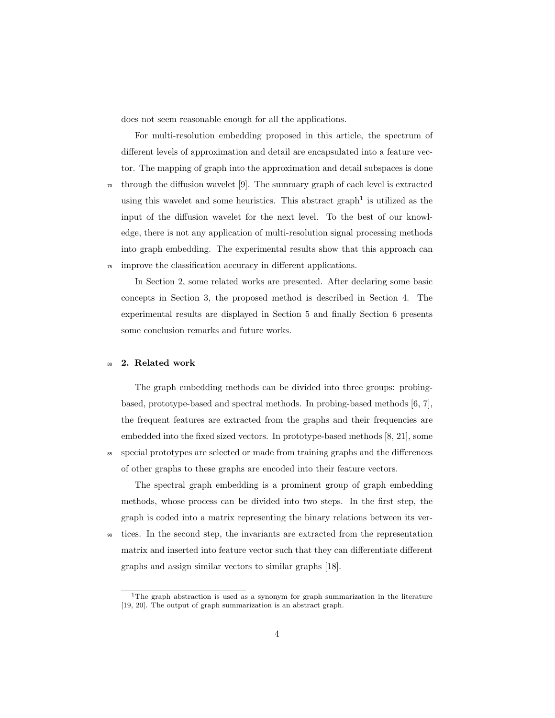does not seem reasonable enough for all the applications.

For multi-resolution embedding proposed in this article, the spectrum of different levels of approximation and detail are encapsulated into a feature vector. The mapping of graph into the approximation and detail subspaces is done

 $\tau$ <sup>0</sup> through the diffusion wavelet [9]. The summary graph of each level is extracted using this wavelet and some heuristics. This abstract graph<sup>1</sup> is utilized as the input of the diffusion wavelet for the next level. To the best of our knowledge, there is not any application of multi-resolution signal processing methods into graph embedding. The experimental results show that this approach can <sup>75</sup> improve the classification accuracy in different applications.

In Section 2, some related works are presented. After declaring some basic concepts in Section 3, the proposed method is described in Section 4. The experimental results are displayed in Section 5 and finally Section 6 presents some conclusion remarks and future works.

# <sup>80</sup> 2. Related work

The graph embedding methods can be divided into three groups: probingbased, prototype-based and spectral methods. In probing-based methods [6, 7], the frequent features are extracted from the graphs and their frequencies are embedded into the fixed sized vectors. In prototype-based methods [8, 21], some <sup>85</sup> special prototypes are selected or made from training graphs and the differences of other graphs to these graphs are encoded into their feature vectors.

The spectral graph embedding is a prominent group of graph embedding methods, whose process can be divided into two steps. In the first step, the graph is coded into a matrix representing the binary relations between its ver-

<sup>90</sup> tices. In the second step, the invariants are extracted from the representation matrix and inserted into feature vector such that they can differentiate different graphs and assign similar vectors to similar graphs [18].

<sup>&</sup>lt;sup>1</sup>The graph abstraction is used as a synonym for graph summarization in the literature [19, 20]. The output of graph summarization is an abstract graph.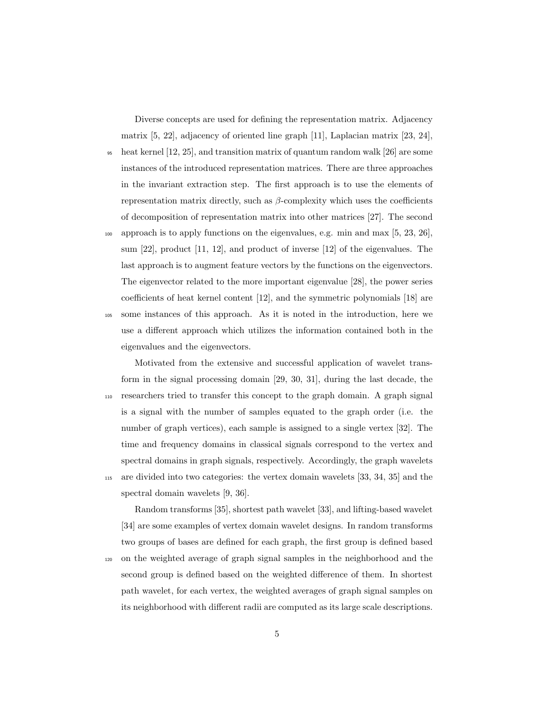Diverse concepts are used for defining the representation matrix. Adjacency matrix [5, 22], adjacency of oriented line graph [11], Laplacian matrix [23, 24],

<sup>95</sup> heat kernel [12, 25], and transition matrix of quantum random walk [26] are some instances of the introduced representation matrices. There are three approaches in the invariant extraction step. The first approach is to use the elements of representation matrix directly, such as  $\beta$ -complexity which uses the coefficients of decomposition of representation matrix into other matrices [27]. The second

<sup>100</sup> approach is to apply functions on the eigenvalues, e.g. min and max [5, 23, 26], sum [22], product [11, 12], and product of inverse [12] of the eigenvalues. The last approach is to augment feature vectors by the functions on the eigenvectors. The eigenvector related to the more important eigenvalue [28], the power series coefficients of heat kernel content [12], and the symmetric polynomials [18] are <sup>105</sup> some instances of this approach. As it is noted in the introduction, here we use a different approach which utilizes the information contained both in the eigenvalues and the eigenvectors.

Motivated from the extensive and successful application of wavelet transform in the signal processing domain [29, 30, 31], during the last decade, the <sup>110</sup> researchers tried to transfer this concept to the graph domain. A graph signal is a signal with the number of samples equated to the graph order (i.e. the number of graph vertices), each sample is assigned to a single vertex [32]. The time and frequency domains in classical signals correspond to the vertex and spectral domains in graph signals, respectively. Accordingly, the graph wavelets <sup>115</sup> are divided into two categories: the vertex domain wavelets [33, 34, 35] and the spectral domain wavelets [9, 36].

Random transforms [35], shortest path wavelet [33], and lifting-based wavelet [34] are some examples of vertex domain wavelet designs. In random transforms two groups of bases are defined for each graph, the first group is defined based

<sup>120</sup> on the weighted average of graph signal samples in the neighborhood and the second group is defined based on the weighted difference of them. In shortest path wavelet, for each vertex, the weighted averages of graph signal samples on its neighborhood with different radii are computed as its large scale descriptions.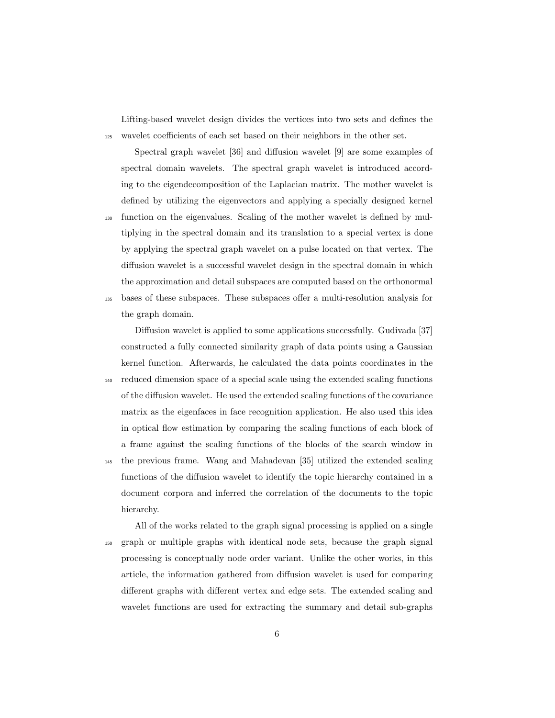Lifting-based wavelet design divides the vertices into two sets and defines the <sup>125</sup> wavelet coefficients of each set based on their neighbors in the other set.

Spectral graph wavelet [36] and diffusion wavelet [9] are some examples of spectral domain wavelets. The spectral graph wavelet is introduced according to the eigendecomposition of the Laplacian matrix. The mother wavelet is defined by utilizing the eigenvectors and applying a specially designed kernel <sup>130</sup> function on the eigenvalues. Scaling of the mother wavelet is defined by multiplying in the spectral domain and its translation to a special vertex is done by applying the spectral graph wavelet on a pulse located on that vertex. The diffusion wavelet is a successful wavelet design in the spectral domain in which the approximation and detail subspaces are computed based on the orthonormal <sup>135</sup> bases of these subspaces. These subspaces offer a multi-resolution analysis for

the graph domain.

hierarchy.

Diffusion wavelet is applied to some applications successfully. Gudivada [37] constructed a fully connected similarity graph of data points using a Gaussian kernel function. Afterwards, he calculated the data points coordinates in the <sup>140</sup> reduced dimension space of a special scale using the extended scaling functions of the diffusion wavelet. He used the extended scaling functions of the covariance matrix as the eigenfaces in face recognition application. He also used this idea in optical flow estimation by comparing the scaling functions of each block of a frame against the scaling functions of the blocks of the search window in <sup>145</sup> the previous frame. Wang and Mahadevan [35] utilized the extended scaling functions of the diffusion wavelet to identify the topic hierarchy contained in a document corpora and inferred the correlation of the documents to the topic

All of the works related to the graph signal processing is applied on a single <sup>150</sup> graph or multiple graphs with identical node sets, because the graph signal processing is conceptually node order variant. Unlike the other works, in this article, the information gathered from diffusion wavelet is used for comparing different graphs with different vertex and edge sets. The extended scaling and wavelet functions are used for extracting the summary and detail sub-graphs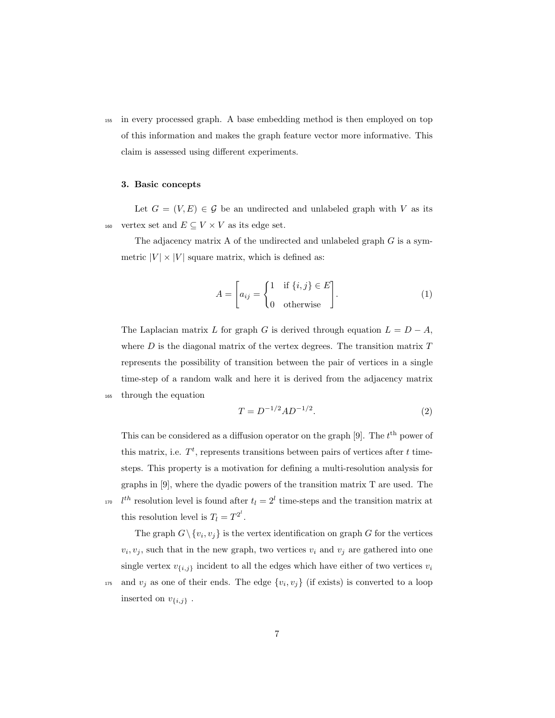<sup>155</sup> in every processed graph. A base embedding method is then employed on top of this information and makes the graph feature vector more informative. This claim is assessed using different experiments.

# 3. Basic concepts

Let  $G = (V, E) \in \mathcal{G}$  be an undirected and unlabeled graph with V as its 160 vertex set and  $E \subseteq V \times V$  as its edge set.

The adjacency matrix A of the undirected and unlabeled graph  $G$  is a symmetric  $|V| \times |V|$  square matrix, which is defined as:

$$
A = \begin{bmatrix} a_{ij} \\ a_{ij} \end{bmatrix} = \begin{cases} 1 & \text{if } \{i,j\} \in E \\ 0 & \text{otherwise} \end{cases} . \tag{1}
$$

The Laplacian matrix L for graph G is derived through equation  $L = D - A$ , where  $D$  is the diagonal matrix of the vertex degrees. The transition matrix  $T$ represents the possibility of transition between the pair of vertices in a single time-step of a random walk and here it is derived from the adjacency matrix <sup>165</sup> through the equation

$$
T = D^{-1/2} A D^{-1/2}.
$$
 (2)

This can be considered as a diffusion operator on the graph  $[9]$ . The  $t<sup>th</sup>$  power of this matrix, i.e.  $T<sup>t</sup>$ , represents transitions between pairs of vertices after t timesteps. This property is a motivation for defining a multi-resolution analysis for graphs in [9], where the dyadic powers of the transition matrix T are used. The <sup>170</sup>  $l^{th}$  resolution level is found after  $t_l = 2^l$  time-steps and the transition matrix at this resolution level is  $T_l = T^{2^l}$ .

The graph  $G \setminus \{v_i, v_j\}$  is the vertex identification on graph G for the vertices  $v_i, v_j$ , such that in the new graph, two vertices  $v_i$  and  $v_j$  are gathered into one single vertex  $v_{\{i,j\}}$  incident to all the edges which have either of two vertices  $v_i$ 

<sup>175</sup> and  $v_j$  as one of their ends. The edge  $\{v_i, v_j\}$  (if exists) is converted to a loop inserted on  $v_{\{i,j\}}$  .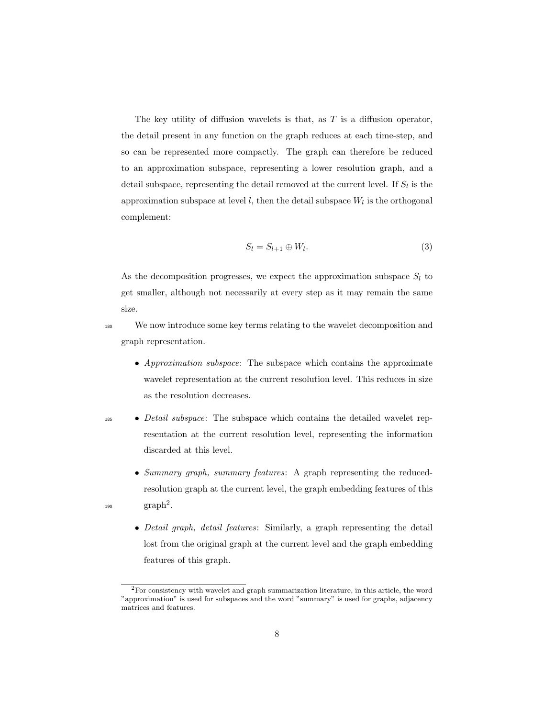The key utility of diffusion wavelets is that, as  $T$  is a diffusion operator, the detail present in any function on the graph reduces at each time-step, and so can be represented more compactly. The graph can therefore be reduced to an approximation subspace, representing a lower resolution graph, and a detail subspace, representing the detail removed at the current level. If  $S_l$  is the approximation subspace at level  $l$ , then the detail subspace  $W_l$  is the orthogonal complement:

$$
S_l = S_{l+1} \oplus W_l. \tag{3}
$$

As the decomposition progresses, we expect the approximation subspace  $S_l$  to get smaller, although not necessarily at every step as it may remain the same size.

- <sup>180</sup> We now introduce some key terms relating to the wavelet decomposition and graph representation.
	- Approximation subspace: The subspace which contains the approximate wavelet representation at the current resolution level. This reduces in size as the resolution decreases.
- <sup>185</sup> *Detail subspace*: The subspace which contains the detailed wavelet representation at the current resolution level, representing the information discarded at this level.
- Summary graph, summary features: A graph representing the reducedresolution graph at the current level, the graph embedding features of this  $_{190}$   $\qquad \qquad \text{graph}^2.$ 
	- Detail graph, detail features: Similarly, a graph representing the detail lost from the original graph at the current level and the graph embedding features of this graph.

<sup>2</sup>For consistency with wavelet and graph summarization literature, in this article, the word "approximation" is used for subspaces and the word "summary" is used for graphs, adjacency matrices and features.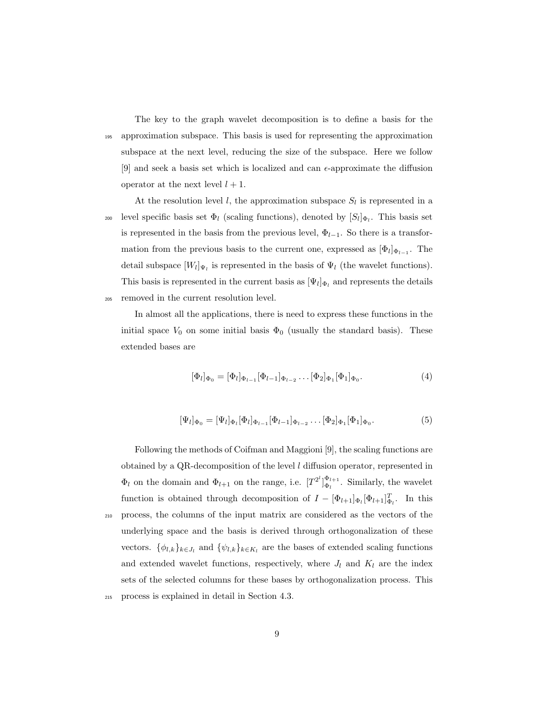The key to the graph wavelet decomposition is to define a basis for the <sup>195</sup> approximation subspace. This basis is used for representing the approximation subspace at the next level, reducing the size of the subspace. Here we follow [9] and seek a basis set which is localized and can  $\epsilon$ -approximate the diffusion operator at the next level  $l + 1$ .

At the resolution level l, the approximation subspace  $S_l$  is represented in a <sup>200</sup> level specific basis set  $\Phi_l$  (scaling functions), denoted by  $[S_l]_{\Phi_l}$ . This basis set is represented in the basis from the previous level,  $\Phi_{l-1}$ . So there is a transformation from the previous basis to the current one, expressed as  $[\Phi_l]_{\Phi_{l-1}}$ . The detail subspace  $[W_l]_{\Psi_l}$  is represented in the basis of  $\Psi_l$  (the wavelet functions). This basis is represented in the current basis as  $[\Psi_l]_{\Phi_l}$  and represents the details <sup>205</sup> removed in the current resolution level.

In almost all the applications, there is need to express these functions in the initial space  $V_0$  on some initial basis  $\Phi_0$  (usually the standard basis). These extended bases are

$$
[\Phi_l]_{\Phi_0} = [\Phi_l]_{\Phi_{l-1}} [\Phi_{l-1}]_{\Phi_{l-2}} \dots [\Phi_2]_{\Phi_1} [\Phi_1]_{\Phi_0}.
$$
\n(4)

$$
[\Psi_l]_{\Phi_0} = [\Psi_l]_{\Phi_l} [\Phi_l]_{\Phi_{l-1}} [\Phi_{l-1}]_{\Phi_{l-2}} \dots [\Phi_2]_{\Phi_1} [\Phi_1]_{\Phi_0}.
$$
\n(5)

Following the methods of Coifman and Maggioni [9], the scaling functions are obtained by a QR-decomposition of the level l diffusion operator, represented in  $\Phi_l$  on the domain and  $\Phi_{l+1}$  on the range, i.e.  $[T^{2^l}]_{\Phi_l}^{\Phi_{l+1}}$ . Similarly, the wavelet function is obtained through decomposition of  $I - [\Phi_{l+1}]_{\Phi_l} [\Phi_{l+1}]_{\Phi_l}^T$ . In this <sup>210</sup> process, the columns of the input matrix are considered as the vectors of the underlying space and the basis is derived through orthogonalization of these vectors.  $\{\phi_{l,k}\}_{k\in J_l}$  and  $\{\psi_{l,k}\}_{k\in K_l}$  are the bases of extended scaling functions and extended wavelet functions, respectively, where  $J_l$  and  $K_l$  are the index sets of the selected columns for these bases by orthogonalization process. This <sup>215</sup> process is explained in detail in Section 4.3.

9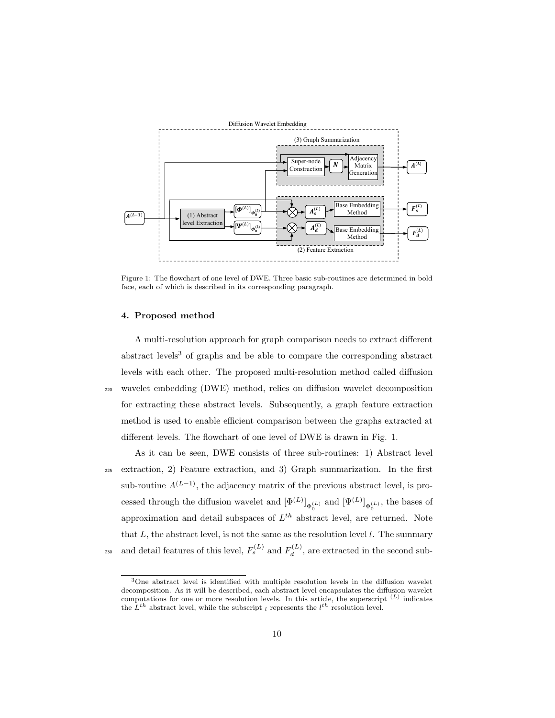

Figure 1: The flowchart of one level of DWE. Three basic sub-routines are determined in bold face, each of which is described in its corresponding paragraph.

# 4. Proposed method

A multi-resolution approach for graph comparison needs to extract different abstract levels<sup>3</sup> of graphs and be able to compare the corresponding abstract levels with each other. The proposed multi-resolution method called diffusion <sup>220</sup> wavelet embedding (DWE) method, relies on diffusion wavelet decomposition for extracting these abstract levels. Subsequently, a graph feature extraction method is used to enable efficient comparison between the graphs extracted at different levels. The flowchart of one level of DWE is drawn in Fig. 1.

As it can be seen, DWE consists of three sub-routines: 1) Abstract level <sup>225</sup> extraction, 2) Feature extraction, and 3) Graph summarization. In the first sub-routine  $A^{(L-1)}$ , the adjacency matrix of the previous abstract level, is processed through the diffusion wavelet and  $[\Phi^{(L)}]_{\Phi_0^{(L)}}$  and  $[\Psi^{(L)}]_{\Phi_0^{(L)}}$ , the bases of approximation and detail subspaces of  $L^{th}$  abstract level, are returned. Note that  $L$ , the abstract level, is not the same as the resolution level  $l$ . The summary and detail features of this level,  $F_s^{(L)}$  and  $F_d^{(L)}$ <sup>230</sup> and detail features of this level,  $F_s^{(L)}$  and  $F_d^{(L)}$ , are extracted in the second sub-

<sup>3</sup>One abstract level is identified with multiple resolution levels in the diffusion wavelet decomposition. As it will be described, each abstract level encapsulates the diffusion wavelet computations for one or more resolution levels. In this article, the superscript  $(L)$  indicates the  $L^{th}$  abstract level, while the subscript l represents the  $l^{th}$  resolution level.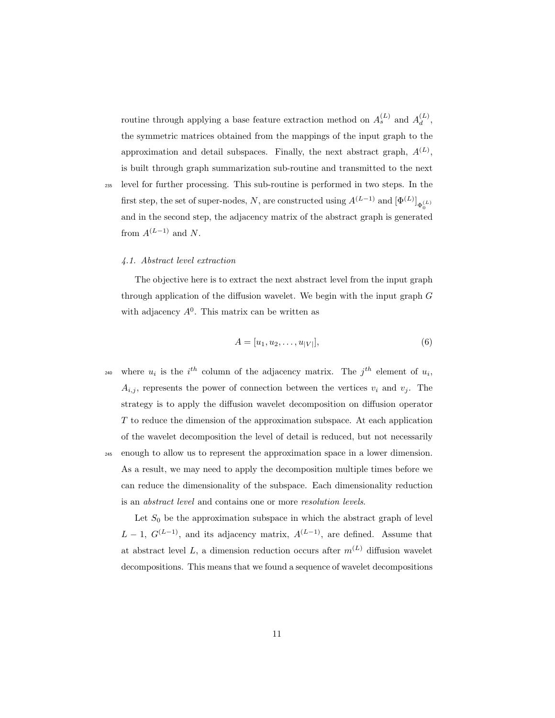routine through applying a base feature extraction method on  $A_s^{(L)}$  and  $A_d^{(L)}$  $\stackrel{(L)}{d}$ the symmetric matrices obtained from the mappings of the input graph to the approximation and detail subspaces. Finally, the next abstract graph,  $A^{(L)}$ , is built through graph summarization sub-routine and transmitted to the next <sup>235</sup> level for further processing. This sub-routine is performed in two steps. In the first step, the set of super-nodes, N, are constructed using  $A^{(L-1)}$  and  $[\Phi^{(L)}]_{\Phi_0^{(L)}}$ 

and in the second step, the adjacency matrix of the abstract graph is generated

#### 4.1. Abstract level extraction

from  $A^{(L-1)}$  and N.

The objective here is to extract the next abstract level from the input graph through application of the diffusion wavelet. We begin with the input graph  $G$ with adjacency  $A^0$ . This matrix can be written as

$$
A = [u_1, u_2, \dots, u_{|V|}], \tag{6}
$$

0

<sup>240</sup> where  $u_i$  is the i<sup>th</sup> column of the adjacency matrix. The j<sup>th</sup> element of  $u_i$ ,  $A_{i,j}$ , represents the power of connection between the vertices  $v_i$  and  $v_j$ . The strategy is to apply the diffusion wavelet decomposition on diffusion operator T to reduce the dimension of the approximation subspace. At each application of the wavelet decomposition the level of detail is reduced, but not necessarily <sup>245</sup> enough to allow us to represent the approximation space in a lower dimension. As a result, we may need to apply the decomposition multiple times before we can reduce the dimensionality of the subspace. Each dimensionality reduction is an abstract level and contains one or more resolution levels.

Let  $S_0$  be the approximation subspace in which the abstract graph of level  $L-1, G^{(L-1)}$ , and its adjacency matrix,  $A^{(L-1)}$ , are defined. Assume that at abstract level L, a dimension reduction occurs after  $m^{(L)}$  diffusion wavelet decompositions. This means that we found a sequence of wavelet decompositions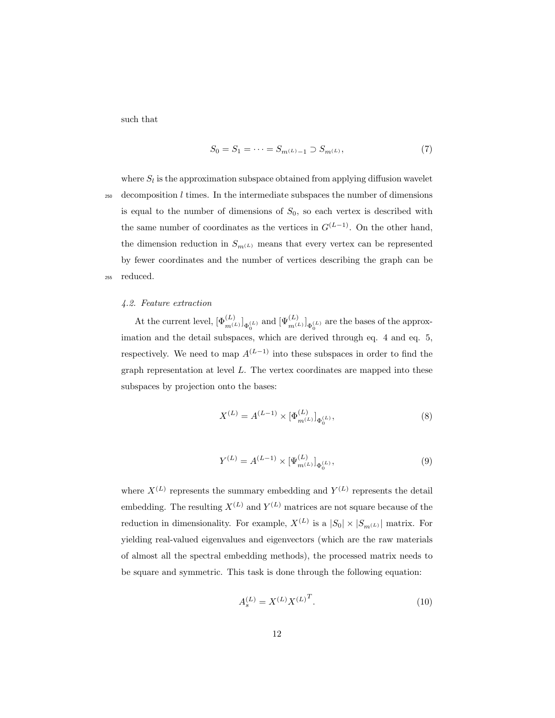such that

$$
S_0 = S_1 = \dots = S_{m^{(L)} - 1} \supset S_{m^{(L)}},\tag{7}
$$

where  $S_l$  is the approximation subspace obtained from applying diffusion wavelet  $250$  decomposition l times. In the intermediate subspaces the number of dimensions is equal to the number of dimensions of  $S_0$ , so each vertex is described with the same number of coordinates as the vertices in  $G^{(L-1)}$ . On the other hand, the dimension reduction in  $S_{m^{(L)}}$  means that every vertex can be represented by fewer coordinates and the number of vertices describing the graph can be <sup>255</sup> reduced.

# 4.2. Feature extraction

At the current level,  $[\Phi_{m^{(L)}}^{(L)}]_{\Phi_0^{(L)}}$  and  $[\Psi_{m^{(L)}}^{(L)}]_{\Phi_0^{(L)}}$  are the bases of the approximation and the detail subspaces, which are derived through eq. 4 and eq. 5, respectively. We need to map  $A^{(L-1)}$  into these subspaces in order to find the graph representation at level  $L$ . The vertex coordinates are mapped into these subspaces by projection onto the bases:

$$
X^{(L)} = A^{(L-1)} \times [\Phi_{m^{(L)}}^{(L)}]_{\Phi_0^{(L)}},\tag{8}
$$

$$
Y^{(L)} = A^{(L-1)} \times [\Psi_{m^{(L)}}^{(L)}]_{\Phi_0^{(L)}},\tag{9}
$$

where  $X^{(L)}$  represents the summary embedding and  $Y^{(L)}$  represents the detail embedding. The resulting  $X^{(L)}$  and  $Y^{(L)}$  matrices are not square because of the reduction in dimensionality. For example,  $X^{(L)}$  is a  $|S_0| \times |S_{m^{(L)}}|$  matrix. For yielding real-valued eigenvalues and eigenvectors (which are the raw materials of almost all the spectral embedding methods), the processed matrix needs to be square and symmetric. This task is done through the following equation:

$$
A_s^{(L)} = X^{(L)} X^{(L)^T}.
$$
\n(10)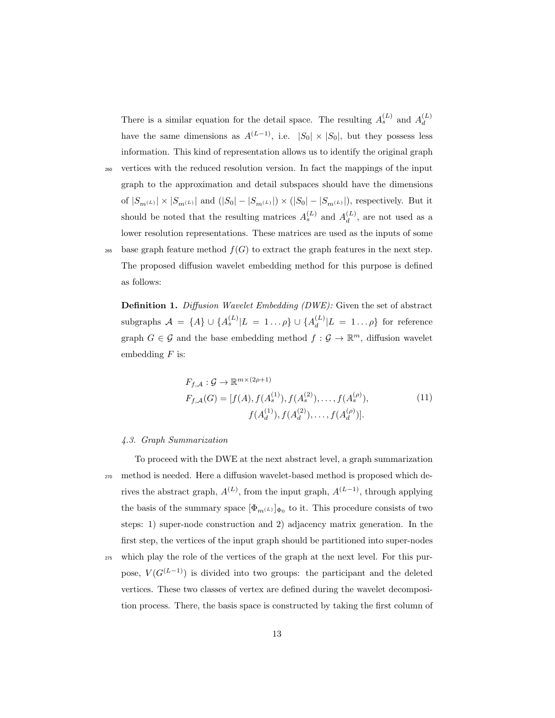There is a similar equation for the detail space. The resulting  $A_s^{(L)}$  and  $A_d^{(L)}$ d have the same dimensions as  $A^{(L-1)}$ , i.e.  $|S_0| \times |S_0|$ , but they possess less information. This kind of representation allows us to identify the original graph

- <sup>260</sup> vertices with the reduced resolution version. In fact the mappings of the input graph to the approximation and detail subspaces should have the dimensions of  $|S_{m^{(L)}}|\times |S_{m^{(L)}}|$  and  $(|S_0|-|S_{m^{(L)}}|)\times (|S_0|-|S_{m^{(L)}}|),$  respectively. But it should be noted that the resulting matrices  $A_s^{(L)}$  and  $A_d^{(L)}$  $\binom{L}{d}$ , are not used as a lower resolution representations. These matrices are used as the inputs of some 265 base graph feature method  $f(G)$  to extract the graph features in the next step. The proposed diffusion wavelet embedding method for this purpose is defined
	- Definition 1. Diffusion Wavelet Embedding (DWE): Given the set of abstract subgraphs  $A = {A} ∪ {A<sup>(L)</sup><sub>s</sub>} L = 1…ρ} ∪ {A<sup>(L)</sup><sub>d</sub>}$  $\int_{d}^{(L)} |L = 1 \dots \rho\}$  for reference graph  $G \in \mathcal{G}$  and the base embedding method  $f: \mathcal{G} \to \mathbb{R}^m$ , diffusion wavelet embedding  $F$  is:

$$
F_{f,A}: \mathcal{G} \to \mathbb{R}^{m \times (2\rho+1)}
$$
  
\n
$$
F_{f,A}(G) = [f(A), f(A_s^{(1)}), f(A_s^{(2)}), \dots, f(A_s^{(\rho)}),
$$
  
\n
$$
f(A_d^{(1)}), f(A_d^{(2)}), \dots, f(A_d^{(\rho)})].
$$
\n(11)

#### 4.3. Graph Summarization

as follows:

To proceed with the DWE at the next abstract level, a graph summarization <sup>270</sup> method is needed. Here a diffusion wavelet-based method is proposed which derives the abstract graph,  $A^{(L)}$ , from the input graph,  $A^{(L-1)}$ , through applying the basis of the summary space  $[\Phi_{m^{(L)}}]_{\Phi_0}$  to it. This procedure consists of two steps: 1) super-node construction and 2) adjacency matrix generation. In the first step, the vertices of the input graph should be partitioned into super-nodes

<sup>275</sup> which play the role of the vertices of the graph at the next level. For this purpose,  $V(G^{(L-1)})$  is divided into two groups: the participant and the deleted vertices. These two classes of vertex are defined during the wavelet decomposition process. There, the basis space is constructed by taking the first column of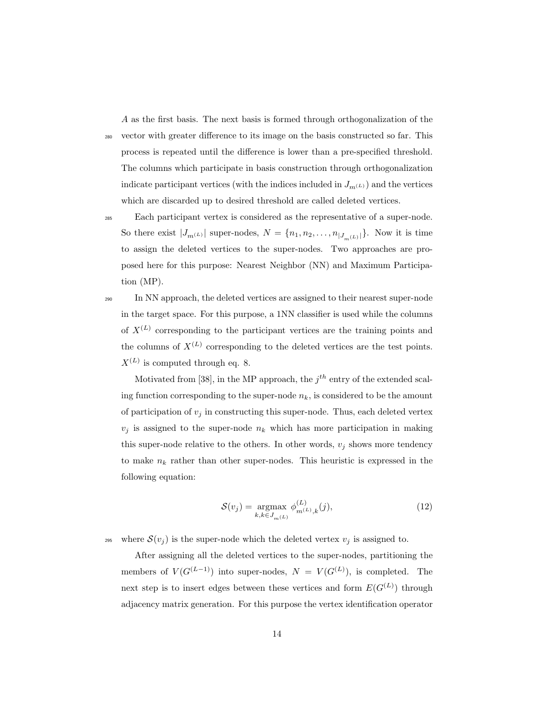A as the first basis. The next basis is formed through orthogonalization of the

<sup>280</sup> vector with greater difference to its image on the basis constructed so far. This process is repeated until the difference is lower than a pre-specified threshold. The columns which participate in basis construction through orthogonalization indicate participant vertices (with the indices included in  $J_{m}(L)$ ) and the vertices which are discarded up to desired threshold are called deleted vertices.

- <sup>285</sup> Each participant vertex is considered as the representative of a super-node. So there exist  $|J_{m^{(L)}}|$  super-nodes,  $N = \{n_1, n_2, \ldots, n_{|J_{m^{(L)}}|}\}\.$  Now it is time to assign the deleted vertices to the super-nodes. Two approaches are proposed here for this purpose: Nearest Neighbor (NN) and Maximum Participation (MP).
- <sup>290</sup> In NN approach, the deleted vertices are assigned to their nearest super-node in the target space. For this purpose, a 1NN classifier is used while the columns of  $X^{(L)}$  corresponding to the participant vertices are the training points and the columns of  $X^{(L)}$  corresponding to the deleted vertices are the test points.  $X^{(L)}$  is computed through eq. 8.

Motivated from [38], in the MP approach, the  $j<sup>th</sup>$  entry of the extended scaling function corresponding to the super-node  $n_k$ , is considered to be the amount of participation of  $v_j$  in constructing this super-node. Thus, each deleted vertex  $v_j$  is assigned to the super-node  $n_k$  which has more participation in making this super-node relative to the others. In other words,  $v_j$  shows more tendency to make  $n_k$  rather than other super-nodes. This heuristic is expressed in the following equation:

$$
S(v_j) = \underset{k,k \in J_{m}(L)}{\text{argmax}} \phi_{m^{(L)},k}^{(L)}(j), \tag{12}
$$

295 where  $\mathcal{S}(v_i)$  is the super-node which the deleted vertex  $v_i$  is assigned to.

After assigning all the deleted vertices to the super-nodes, partitioning the members of  $V(G^{(L-1)})$  into super-nodes,  $N = V(G^{(L)})$ , is completed. The next step is to insert edges between these vertices and form  $E(G^{(L)})$  through adjacency matrix generation. For this purpose the vertex identification operator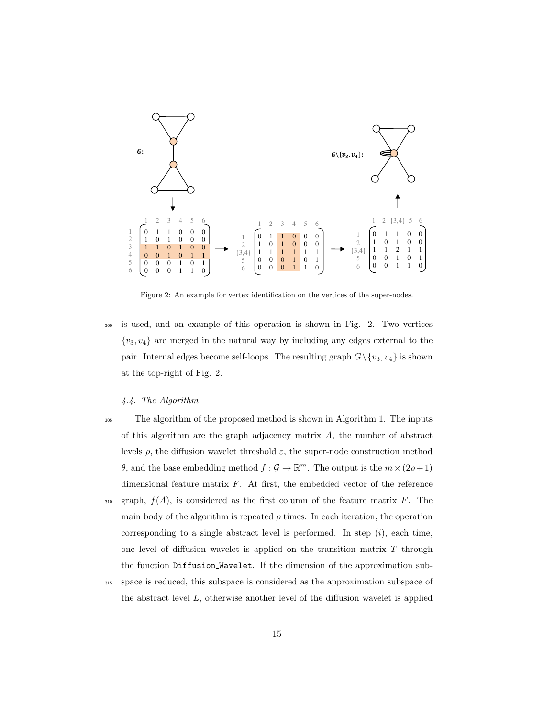

Figure 2: An example for vertex identification on the vertices of the super-nodes.

 is used, and an example of this operation is shown in Fig. 2. Two vertices  ${v_3, v_4}$  are merged in the natural way by including any edges external to the pair. Internal edges become self-loops. The resulting graph  $G \setminus \{v_3, v_4\}$  is shown at the top-right of Fig. 2.

# 4.4. The Algorithm

- The algorithm of the proposed method is shown in Algorithm 1. The inputs of this algorithm are the graph adjacency matrix  $A$ , the number of abstract levels  $\rho$ , the diffusion wavelet threshold  $\varepsilon$ , the super-node construction method  $\theta$ , and the base embedding method  $f : \mathcal{G} \to \mathbb{R}^m$ . The output is the  $m \times (2\rho + 1)$ dimensional feature matrix  $F$ . At first, the embedded vector of the reference  $_{310}$  graph,  $f(A)$ , is considered as the first column of the feature matrix F. The main body of the algorithm is repeated  $\rho$  times. In each iteration, the operation corresponding to a single abstract level is performed. In step  $(i)$ , each time, one level of diffusion wavelet is applied on the transition matrix  $T$  through the function Diffusion Wavelet. If the dimension of the approximation sub-
- space is reduced, this subspace is considered as the approximation subspace of the abstract level  $L$ , otherwise another level of the diffusion wavelet is applied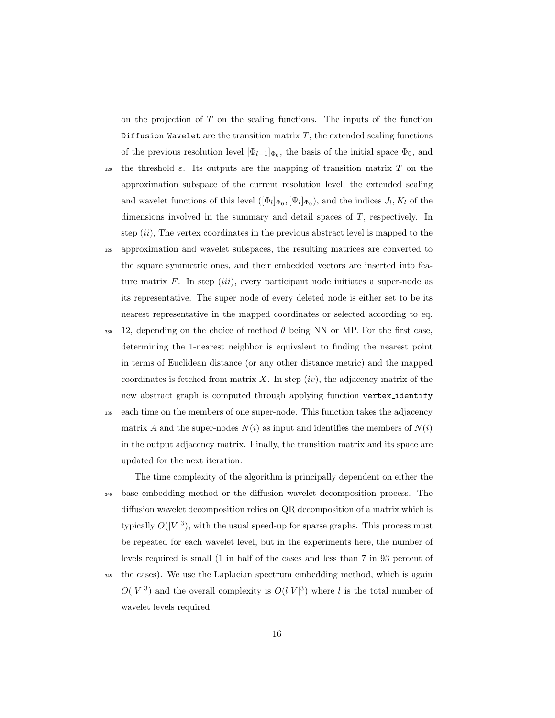on the projection of  $T$  on the scaling functions. The inputs of the function Diffusion Wavelet are the transition matrix  $T$ , the extended scaling functions of the previous resolution level  $[\Phi_{l-1}]_{\Phi_0}$ , the basis of the initial space  $\Phi_0$ , and

- 320 the threshold  $\varepsilon$ . Its outputs are the mapping of transition matrix T on the approximation subspace of the current resolution level, the extended scaling and wavelet functions of this level  $([\Phi_l]_{\Phi_0}, [\Psi_l]_{\Phi_0})$ , and the indices  $J_l, K_l$  of the dimensions involved in the summary and detail spaces of T, respectively. In step  $(ii)$ , The vertex coordinates in the previous abstract level is mapped to the
- <sup>325</sup> approximation and wavelet subspaces, the resulting matrices are converted to the square symmetric ones, and their embedded vectors are inserted into feature matrix  $F$ . In step *(iii)*, every participant node initiates a super-node as its representative. The super node of every deleted node is either set to be its nearest representative in the mapped coordinates or selected according to eq.
- 330 12, depending on the choice of method  $\theta$  being NN or MP. For the first case, determining the 1-nearest neighbor is equivalent to finding the nearest point in terms of Euclidean distance (or any other distance metric) and the mapped coordinates is fetched from matrix X. In step  $(iv)$ , the adjacency matrix of the new abstract graph is computed through applying function vertex identify
- <sup>335</sup> each time on the members of one super-node. This function takes the adjacency matrix A and the super-nodes  $N(i)$  as input and identifies the members of  $N(i)$ in the output adjacency matrix. Finally, the transition matrix and its space are updated for the next iteration.

The time complexity of the algorithm is principally dependent on either the <sup>340</sup> base embedding method or the diffusion wavelet decomposition process. The diffusion wavelet decomposition relies on QR decomposition of a matrix which is typically  $O(|V|^3)$ , with the usual speed-up for sparse graphs. This process must be repeated for each wavelet level, but in the experiments here, the number of levels required is small (1 in half of the cases and less than 7 in 93 percent of <sup>345</sup> the cases). We use the Laplacian spectrum embedding method, which is again  $O(|V|^3)$  and the overall complexity is  $O(l|V|^3)$  where l is the total number of wavelet levels required.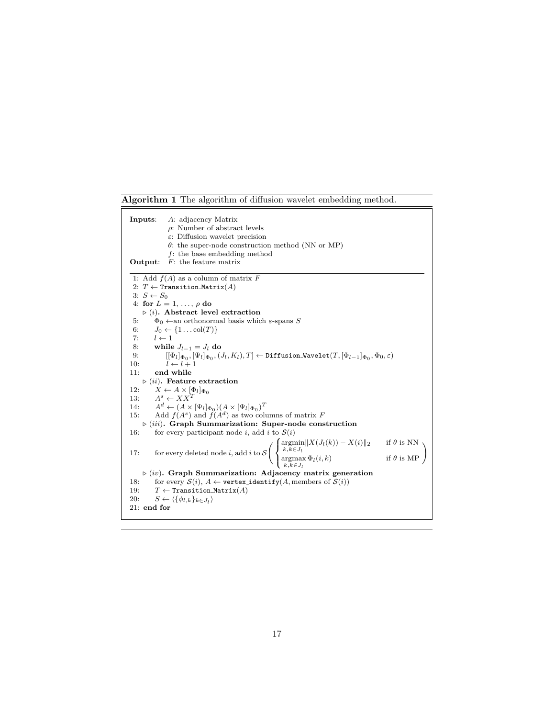Algorithm 1 The algorithm of diffusion wavelet embedding method.

Inputs: A: adjacency Matrix ρ: Number of abstract levels ε: Diffusion wavelet precision  $\theta$ : the super-node construction method (NN or MP)  $f$ : the base embedding method  $% \left( f\right)$ **Output:**  $F$ : the feature matrix 1: Add  $f(A)$  as a column of matrix  $F$ 2:  $T \leftarrow$  Transition\_Matrix(A) 3:  $S \leftarrow S_0$ 4: for  $L = 1, \ldots, \rho$  do  $\triangleright$  (i). Abstract level extraction 5:  $\Phi_0 \leftarrow$ an orthonormal basis which  $\varepsilon$ -spans S<br>6:  $J_0 \leftarrow \{1 \dots \text{col}(T)\}\$ 6:  $J_0 \leftarrow \{1 \dots \text{col}(T)\}$ <br>7:  $l \leftarrow 1$  $l \leftarrow 1$ 8: while  $J_{l-1} = J_l$  do<br>9:  $[(\Phi_l]_{\Phi_l}, [\Psi_l]_{\Phi_l},]$  $9\colon\qquad\qquad [[\Phi_l]_{\Phi_0},[\Psi_l]_{\Phi_0},(J_l,K_l),T]\leftarrow\texttt{Diffusion\_Wavelet}(T,[\Phi_{l-1}]_{\Phi_0},\Phi_0,\varepsilon)$ 10:  $\overline{l} \leftarrow \overline{l+1}$ 11: end while  $\triangleright$  (ii). Feature extraction 12:  $X \leftarrow A \times [\Phi_l]_{\Phi_0}$ <br>13:  $A^s \leftarrow XX^T$ 14:  $A^d \leftarrow (A \times [\Psi_l]_{\Phi_0})(A \times [\Psi_l]_{\Phi_0})^T$ 15: Add  $f(A^s)$  and  $f(A^d)$  as two columns of matrix F  $\triangleright$  (iii). Graph Summarization: Super-node construction 16: for every participant node i, add i to  $S(i)$ 17: for every deleted node *i*, add *i* to  $S\left(\right)$  $\mathcal{L}$  $\underset{k,k \in J_l}{\text{argmin}} \|X(J_l(k)) - X(i)\|_2$  if  $\theta$  is NN  $\argmin_{k,k \in J_l} \|\mathbf{A}(J_l(k)) - \mathbf{A}(i)\|_2$  if  $\theta$  is NN<br>  $\argmax_{k,k \in J_l} \Phi_l(i,k)$  if  $\theta$  is MP  $\triangleright$  (iv). Graph Summarization: Adjacency matrix generation 18: for every  $S(i)$ ,  $A \leftarrow$  vertex identify(A, members of  $S(i)$ ) 19:  $T \leftarrow$  Transition Matrix(A)<br>20:  $S \leftarrow \{\{\phi_{l,k}\}_{k \in J_i}\}$ 20:  $S \leftarrow \langle \{\phi_{l,k}\}_{k \in J_l} \rangle$ 21: end for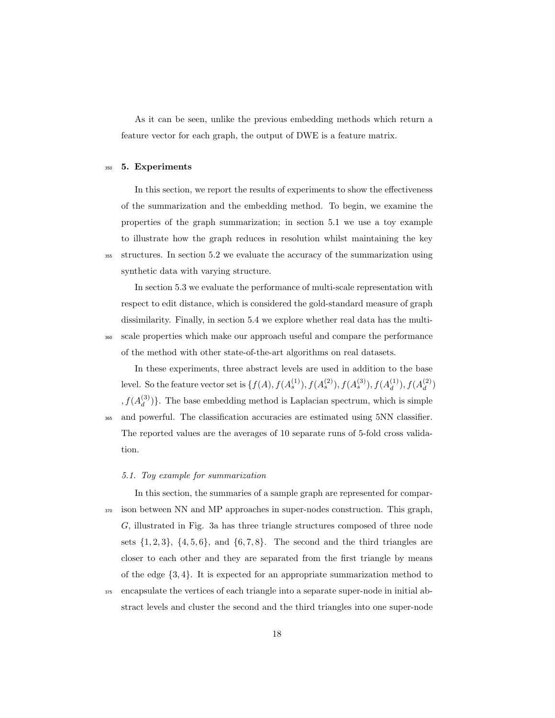As it can be seen, unlike the previous embedding methods which return a feature vector for each graph, the output of DWE is a feature matrix.

## <sup>350</sup> 5. Experiments

In this section, we report the results of experiments to show the effectiveness of the summarization and the embedding method. To begin, we examine the properties of the graph summarization; in section 5.1 we use a toy example to illustrate how the graph reduces in resolution whilst maintaining the key <sup>355</sup> structures. In section 5.2 we evaluate the accuracy of the summarization using synthetic data with varying structure.

In section 5.3 we evaluate the performance of multi-scale representation with respect to edit distance, which is considered the gold-standard measure of graph dissimilarity. Finally, in section 5.4 we explore whether real data has the multi-<sup>360</sup> scale properties which make our approach useful and compare the performance of the method with other state-of-the-art algorithms on real datasets.

In these experiments, three abstract levels are used in addition to the base level. So the feature vector set is  $\{f(A), f(A_s^{(1)}), f(A_s^{(2)}), f(A_s^{(3)}), f(A_d^{(1)})\}$  $\binom{1}{d}$ ,  $f(A_d^{(2)}$  $\binom{2}{d}$  $, f(A_d^{(3)}$  $\binom{O}{d}$ . The base embedding method is Laplacian spectrum, which is simple <sup>365</sup> and powerful. The classification accuracies are estimated using 5NN classifier. The reported values are the averages of 10 separate runs of 5-fold cross validation.

#### 5.1. Toy example for summarization

In this section, the summaries of a sample graph are represented for compar-<sup>370</sup> ison between NN and MP approaches in super-nodes construction. This graph, G, illustrated in Fig. 3a has three triangle structures composed of three node sets  $\{1, 2, 3\}, \{4, 5, 6\}, \text{ and } \{6, 7, 8\}.$  The second and the third triangles are closer to each other and they are separated from the first triangle by means of the edge {3, 4}. It is expected for an appropriate summarization method to <sup>375</sup> encapsulate the vertices of each triangle into a separate super-node in initial ab-

stract levels and cluster the second and the third triangles into one super-node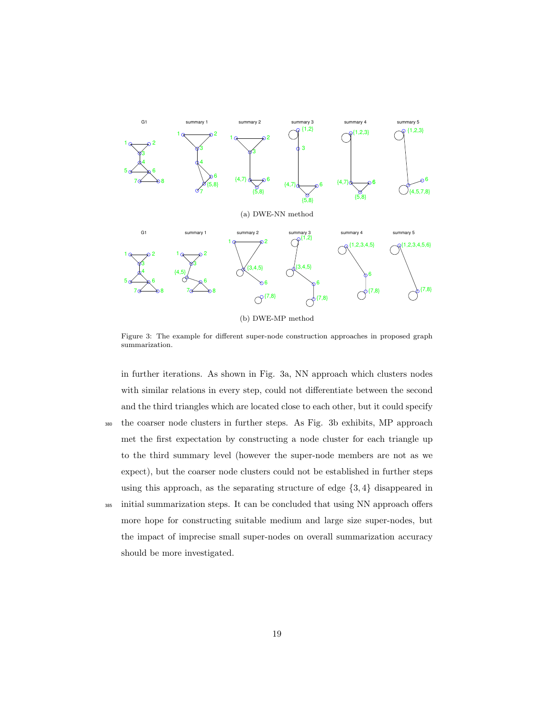

(b) DWE-MP method

Figure 3: The example for different super-node construction approaches in proposed graph summarization.

in further iterations. As shown in Fig. 3a, NN approach which clusters nodes with similar relations in every step, could not differentiate between the second and the third triangles which are located close to each other, but it could specify <sup>380</sup> the coarser node clusters in further steps. As Fig. 3b exhibits, MP approach met the first expectation by constructing a node cluster for each triangle up to the third summary level (however the super-node members are not as we expect), but the coarser node clusters could not be established in further steps using this approach, as the separating structure of edge {3, 4} disappeared in <sup>385</sup> initial summarization steps. It can be concluded that using NN approach offers more hope for constructing suitable medium and large size super-nodes, but the impact of imprecise small super-nodes on overall summarization accuracy should be more investigated.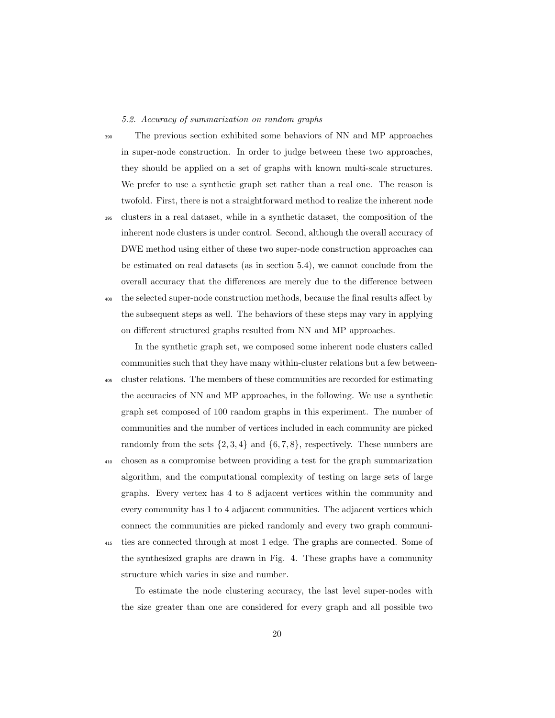5.2. Accuracy of summarization on random graphs

<sup>390</sup> The previous section exhibited some behaviors of NN and MP approaches in super-node construction. In order to judge between these two approaches, they should be applied on a set of graphs with known multi-scale structures. We prefer to use a synthetic graph set rather than a real one. The reason is twofold. First, there is not a straightforward method to realize the inherent node

<sup>395</sup> clusters in a real dataset, while in a synthetic dataset, the composition of the inherent node clusters is under control. Second, although the overall accuracy of DWE method using either of these two super-node construction approaches can be estimated on real datasets (as in section 5.4), we cannot conclude from the overall accuracy that the differences are merely due to the difference between <sup>400</sup> the selected super-node construction methods, because the final results affect by the subsequent steps as well. The behaviors of these steps may vary in applying

In the synthetic graph set, we composed some inherent node clusters called communities such that they have many within-cluster relations but a few between-

on different structured graphs resulted from NN and MP approaches.

<sup>405</sup> cluster relations. The members of these communities are recorded for estimating the accuracies of NN and MP approaches, in the following. We use a synthetic graph set composed of 100 random graphs in this experiment. The number of communities and the number of vertices included in each community are picked randomly from the sets  $\{2, 3, 4\}$  and  $\{6, 7, 8\}$ , respectively. These numbers are

<sup>410</sup> chosen as a compromise between providing a test for the graph summarization algorithm, and the computational complexity of testing on large sets of large graphs. Every vertex has 4 to 8 adjacent vertices within the community and every community has 1 to 4 adjacent communities. The adjacent vertices which connect the communities are picked randomly and every two graph communi-<sup>415</sup> ties are connected through at most 1 edge. The graphs are connected. Some of

the synthesized graphs are drawn in Fig. 4. These graphs have a community structure which varies in size and number.

To estimate the node clustering accuracy, the last level super-nodes with the size greater than one are considered for every graph and all possible two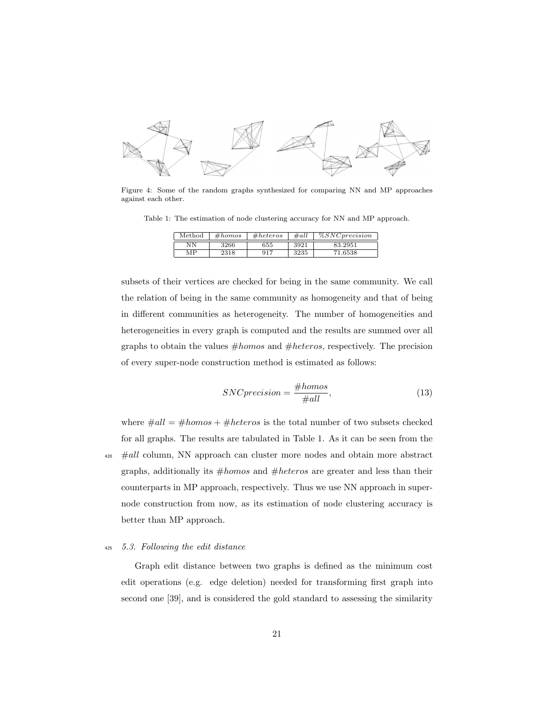

Figure 4: Some of the random graphs synthesized for comparing NN and MP approaches against each other.

Table 1: The estimation of node clustering accuracy for NN and MP approach.

| Method | #homos | #heteros | #all | $\%SNC precision$ |
|--------|--------|----------|------|-------------------|
| NΝ     | 3266   | 655      | 3921 | 83.2951           |
| MР     | 2318   | 917      | 3235 | 71.6538           |

subsets of their vertices are checked for being in the same community. We call the relation of being in the same community as homogeneity and that of being in different communities as heterogeneity. The number of homogeneities and heterogeneities in every graph is computed and the results are summed over all graphs to obtain the values  $#homos$  and  $#heteros$ , respectively. The precision of every super-node construction method is estimated as follows:

$$
SNC precision = \frac{\#homos}{\#all},\tag{13}
$$

where  $\#all = \#homos + \#heteros$  is the total number of two subsets checked for all graphs. The results are tabulated in Table 1. As it can be seen from the  $\#all$  column, NN approach can cluster more nodes and obtain more abstract graphs, additionally its  $#homos$  and  $#heteros$  are greater and less than their counterparts in MP approach, respectively. Thus we use NN approach in supernode construction from now, as its estimation of node clustering accuracy is better than MP approach.

## <sup>425</sup> 5.3. Following the edit distance

Graph edit distance between two graphs is defined as the minimum cost edit operations (e.g. edge deletion) needed for transforming first graph into second one [39], and is considered the gold standard to assessing the similarity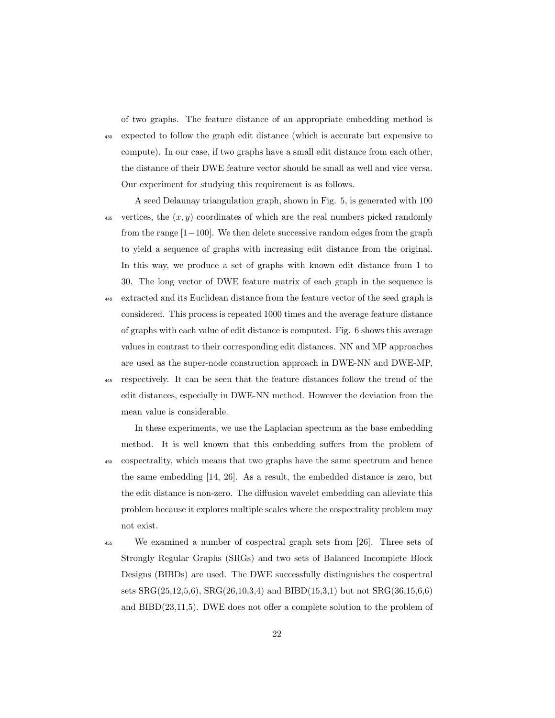of two graphs. The feature distance of an appropriate embedding method is

<sup>430</sup> expected to follow the graph edit distance (which is accurate but expensive to compute). In our case, if two graphs have a small edit distance from each other, the distance of their DWE feature vector should be small as well and vice versa. Our experiment for studying this requirement is as follows.

A seed Delaunay triangulation graph, shown in Fig. 5, is generated with 100 vertices, the  $(x, y)$  coordinates of which are the real numbers picked randomly from the range [1−100]. We then delete successive random edges from the graph to yield a sequence of graphs with increasing edit distance from the original. In this way, we produce a set of graphs with known edit distance from 1 to 30. The long vector of DWE feature matrix of each graph in the sequence is

- <sup>440</sup> extracted and its Euclidean distance from the feature vector of the seed graph is considered. This process is repeated 1000 times and the average feature distance of graphs with each value of edit distance is computed. Fig. 6 shows this average values in contrast to their corresponding edit distances. NN and MP approaches are used as the super-node construction approach in DWE-NN and DWE-MP,
- <sup>445</sup> respectively. It can be seen that the feature distances follow the trend of the edit distances, especially in DWE-NN method. However the deviation from the mean value is considerable.

In these experiments, we use the Laplacian spectrum as the base embedding method. It is well known that this embedding suffers from the problem of <sup>450</sup> cospectrality, which means that two graphs have the same spectrum and hence the same embedding [14, 26]. As a result, the embedded distance is zero, but the edit distance is non-zero. The diffusion wavelet embedding can alleviate this problem because it explores multiple scales where the cospectrality problem may not exist.

<sup>455</sup> We examined a number of cospectral graph sets from [26]. Three sets of Strongly Regular Graphs (SRGs) and two sets of Balanced Incomplete Block Designs (BIBDs) are used. The DWE successfully distinguishes the cospectral sets SRG(25,12,5,6), SRG(26,10,3,4) and BIBD(15,3,1) but not SRG(36,15,6,6) and BIBD(23,11,5). DWE does not offer a complete solution to the problem of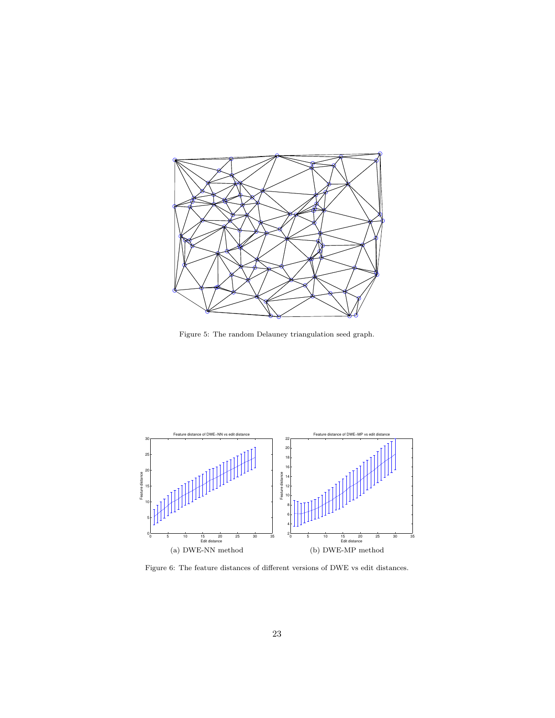

Figure 5: The random Delauney triangulation seed graph.



Figure 6: The feature distances of different versions of DWE vs edit distances.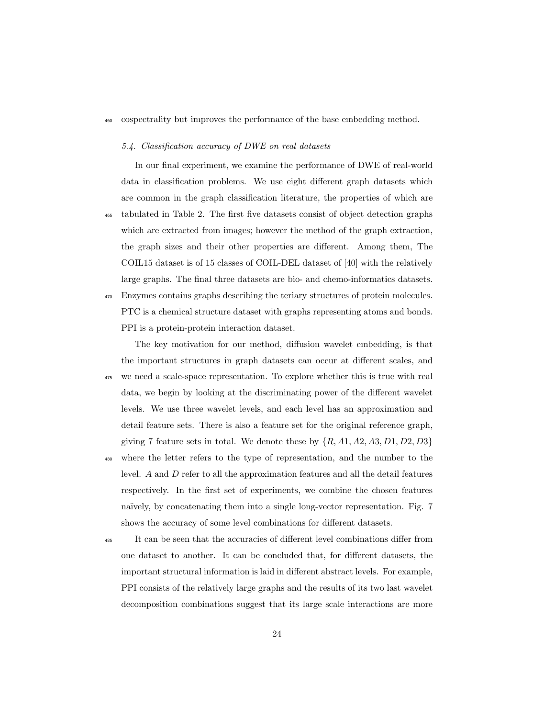<sup>460</sup> cospectrality but improves the performance of the base embedding method.

#### 5.4. Classification accuracy of DWE on real datasets

In our final experiment, we examine the performance of DWE of real-world data in classification problems. We use eight different graph datasets which are common in the graph classification literature, the properties of which are <sup>465</sup> tabulated in Table 2. The first five datasets consist of object detection graphs which are extracted from images; however the method of the graph extraction, the graph sizes and their other properties are different. Among them, The COIL15 dataset is of 15 classes of COIL-DEL dataset of [40] with the relatively large graphs. The final three datasets are bio- and chemo-informatics datasets. <sup>470</sup> Enzymes contains graphs describing the teriary structures of protein molecules. PTC is a chemical structure dataset with graphs representing atoms and bonds. PPI is a protein-protein interaction dataset.

The key motivation for our method, diffusion wavelet embedding, is that the important structures in graph datasets can occur at different scales, and <sup>475</sup> we need a scale-space representation. To explore whether this is true with real data, we begin by looking at the discriminating power of the different wavelet levels. We use three wavelet levels, and each level has an approximation and detail feature sets. There is also a feature set for the original reference graph, giving 7 feature sets in total. We denote these by  $\{R, A1, A2, A3, D1, D2, D3\}$ 

<sup>480</sup> where the letter refers to the type of representation, and the number to the level. A and D refer to all the approximation features and all the detail features respectively. In the first set of experiments, we combine the chosen features naïvely, by concatenating them into a single long-vector representation. Fig. 7 shows the accuracy of some level combinations for different datasets.

<sup>485</sup> It can be seen that the accuracies of different level combinations differ from one dataset to another. It can be concluded that, for different datasets, the important structural information is laid in different abstract levels. For example, PPI consists of the relatively large graphs and the results of its two last wavelet decomposition combinations suggest that its large scale interactions are more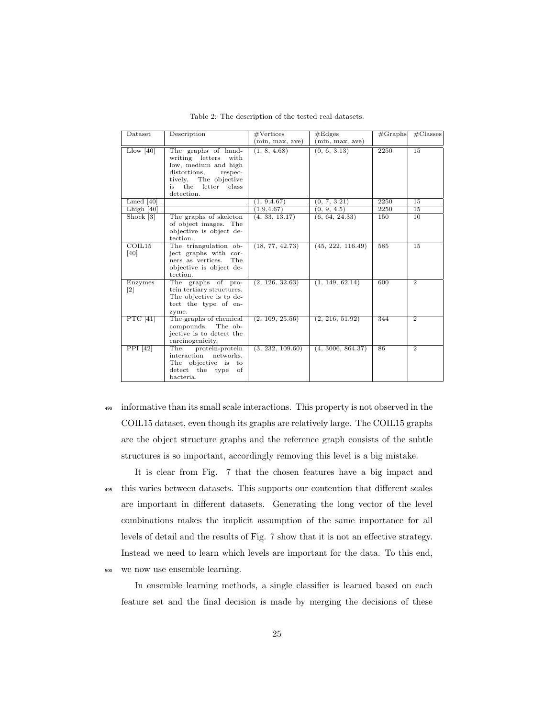| Dataset                      | Description                                                                                                                                                     | #Vertices        | #Edges            |      | $\#$ Classes<br>#Graphs |
|------------------------------|-----------------------------------------------------------------------------------------------------------------------------------------------------------------|------------------|-------------------|------|-------------------------|
|                              |                                                                                                                                                                 | min, max, ave)   | (min, max, ave)   |      |                         |
| $L\text{low}$ [40]           | The graphs of hand-<br>writing letters<br>with<br>low, medium and high<br>distortions,<br>respec-<br>tively. The objective<br>is the letter class<br>detection. | (1, 8, 4.68)     | (0, 6, 3.13)      | 2250 | 15                      |
| $L$ med [40]                 |                                                                                                                                                                 | (1, 9, 4.67)     | (0, 7, 3.21)      | 2250 | 15                      |
| Lhigh $[40]$                 |                                                                                                                                                                 | (1,9,4.67)       | (0, 9, 4.5)       | 2250 | 15                      |
| Shock [3]                    | The graphs of skeleton<br>of object images. The<br>objective is object de-<br>tection.                                                                          | (4, 33, 13.17)   | (6, 64, 24.33)    | 150  | 10                      |
| COIL <sub>15</sub><br>[40]   | The triangulation ob-<br>ject graphs with cor-<br>The<br>ners as vertices.<br>objective is object de-<br>tection.                                               | (18, 77, 42.73)  | (45, 222, 116.49) | 585  | 15                      |
| Enzymes<br>$\left[ 2\right]$ | The graphs of pro-<br>tein tertiary structures.<br>The objective is to de-<br>tect the type of en-<br>zyme.                                                     | (2, 126, 32.63)  | (1, 149, 62.14)   | 600  | $\overline{2}$          |
| PTC $[41]$                   | The graphs of chemical<br>compounds.<br>The ob-<br>jective is to detect the<br>carcinogenicity.                                                                 | (2, 109, 25.56)  | (2, 216, 51.92)   | 344  | $\overline{2}$          |
| PPI [42]                     | The<br>protein-protein<br>interaction networks.<br>The objective is<br>to<br>detect the type<br>of<br>bacteria.                                                 | (3, 232, 109.60) | (4, 3006, 864.37) | 86   | $\overline{2}$          |

Table 2: The description of the tested real datasets.

<sup>490</sup> informative than its small scale interactions. This property is not observed in the COIL15 dataset, even though its graphs are relatively large. The COIL15 graphs are the object structure graphs and the reference graph consists of the subtle structures is so important, accordingly removing this level is a big mistake.

It is clear from Fig. 7 that the chosen features have a big impact and <sup>495</sup> this varies between datasets. This supports our contention that different scales are important in different datasets. Generating the long vector of the level combinations makes the implicit assumption of the same importance for all levels of detail and the results of Fig. 7 show that it is not an effective strategy. Instead we need to learn which levels are important for the data. To this end, <sup>500</sup> we now use ensemble learning.

In ensemble learning methods, a single classifier is learned based on each feature set and the final decision is made by merging the decisions of these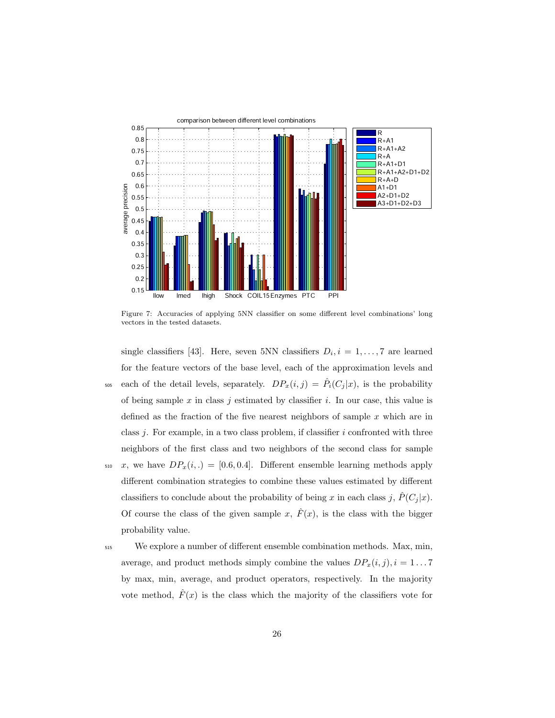

Figure 7: Accuracies of applying 5NN classifier on some different level combinations' long vectors in the tested datasets.

single classifiers [43]. Here, seven 5NN classifiers  $D_i, i = 1, \ldots, 7$  are learned for the feature vectors of the base level, each of the approximation levels and the each of the detail levels, separately.  $DP_x(i, j) = \hat{P}_i(C_j | x)$ , is the probability of being sample  $x$  in class  $j$  estimated by classifier  $i$ . In our case, this value is defined as the fraction of the five nearest neighbors of sample  $x$  which are in class  $j$ . For example, in a two class problem, if classifier  $i$  confronted with three neighbors of the first class and two neighbors of the second class for sample 510 x, we have  $DP_x(i,.) = [0.6, 0.4]$ . Different ensemble learning methods apply different combination strategies to combine these values estimated by different classifiers to conclude about the probability of being x in each class j,  $\hat{P}(C_j | x)$ . Of course the class of the given sample x,  $\hat{F}(x)$ , is the class with the bigger probability value.

<sup>515</sup> We explore a number of different ensemble combination methods. Max, min, average, and product methods simply combine the values  $DP_x(i, j), i = 1...7$ by max, min, average, and product operators, respectively. In the majority vote method,  $\hat{F}(x)$  is the class which the majority of the classifiers vote for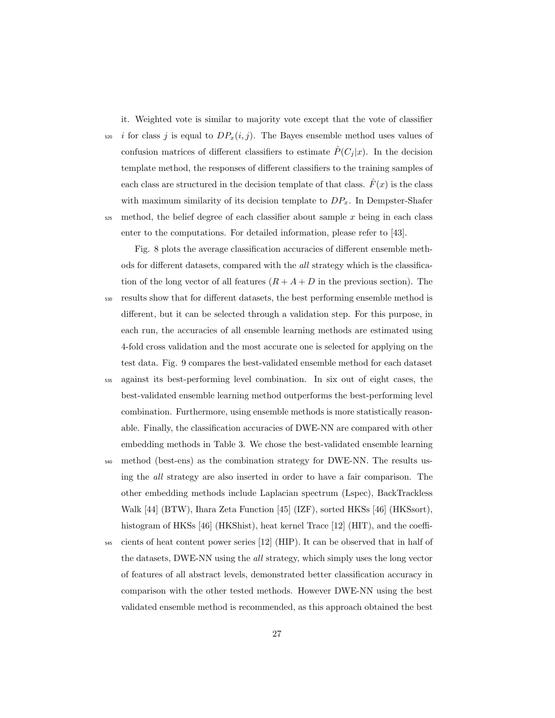it. Weighted vote is similar to majority vote except that the vote of classifier  $\frac{1}{220}$  i for class j is equal to  $DP_x(i, j)$ . The Bayes ensemble method uses values of confusion matrices of different classifiers to estimate  $\hat{P}(C_j | x)$ . In the decision template method, the responses of different classifiers to the training samples of each class are structured in the decision template of that class.  $\hat{F}(x)$  is the class with maximum similarity of its decision template to  $DP_x$ . In Dempster-Shafer  $525$  method, the belief degree of each classifier about sample x being in each class enter to the computations. For detailed information, please refer to [43].

Fig. 8 plots the average classification accuracies of different ensemble methods for different datasets, compared with the all strategy which is the classification of the long vector of all features  $(R + A + D)$  in the previous section). The <sup>530</sup> results show that for different datasets, the best performing ensemble method is different, but it can be selected through a validation step. For this purpose, in each run, the accuracies of all ensemble learning methods are estimated using 4-fold cross validation and the most accurate one is selected for applying on the test data. Fig. 9 compares the best-validated ensemble method for each dataset

- <sup>535</sup> against its best-performing level combination. In six out of eight cases, the best-validated ensemble learning method outperforms the best-performing level combination. Furthermore, using ensemble methods is more statistically reasonable. Finally, the classification accuracies of DWE-NN are compared with other embedding methods in Table 3. We chose the best-validated ensemble learning
- <sup>540</sup> method (best-ens) as the combination strategy for DWE-NN. The results using the all strategy are also inserted in order to have a fair comparison. The other embedding methods include Laplacian spectrum (Lspec), BackTrackless Walk [44] (BTW), Ihara Zeta Function [45] (IZF), sorted HKSs [46] (HKSsort), histogram of HKSs [46] (HKShist), heat kernel Trace [12] (HIT), and the coeffi-
- <sup>545</sup> cients of heat content power series [12] (HIP). It can be observed that in half of the datasets, DWE-NN using the all strategy, which simply uses the long vector of features of all abstract levels, demonstrated better classification accuracy in comparison with the other tested methods. However DWE-NN using the best validated ensemble method is recommended, as this approach obtained the best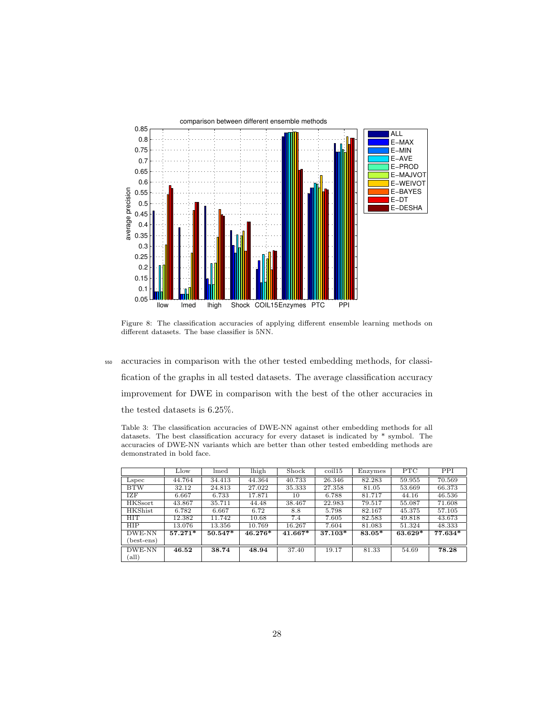

Figure 8: The classification accuracies of applying different ensemble learning methods on different datasets. The base classifier is 5NN.

<sup>550</sup> accuracies in comparison with the other tested embedding methods, for classification of the graphs in all tested datasets. The average classification accuracy improvement for DWE in comparison with the best of the other accuracies in the tested datasets is 6.25%.

Table 3: The classification accuracies of DWE-NN against other embedding methods for all datasets. The best classification accuracy for every dataset is indicated by \* symbol. The accuracies of DWE-NN variants which are better than other tested embedding methods are demonstrated in bold face.

|                | Llow      | $l$ med   | lhigh   | Shock   | $\frac{\text{coil}15}{}$ | Enzymes | <b>PTC</b> | PPI     |
|----------------|-----------|-----------|---------|---------|--------------------------|---------|------------|---------|
| Lspec          | 44.764    | 34.413    | 44.364  | 40.733  | 26.346                   | 82.283  | 59.955     | 70.569  |
| <b>BTW</b>     | 32.12     | 24.813    | 27.022  | 35.333  | 27.358                   | 81.05   | 53.669     | 66.373  |
| <b>IZF</b>     | 6.667     | 6.733     | 17.871  | 10      | 6.788                    | 81.717  | 44.16      | 46.536  |
| <b>HKSsort</b> | 43.867    | 35.711    | 44.48   | 38.467  | 22.983                   | 79.517  | 55.087     | 71.608  |
| <b>HKShist</b> | 6.782     | 6.667     | 6.72    | 8.8     | 5.798                    | 82.167  | 45.375     | 57.105  |
| <b>HIT</b>     | 12.382    | 11.742    | 10.68   | 7.4     | 7.605                    | 82.583  | 49.818     | 43.673  |
| <b>HIP</b>     | 13.076    | 13.356    | 10.769  | 16.267  | 7.604                    | 81.083  | 51.324     | 48.333  |
| DWE-NN         | $57.271*$ | $50.547*$ | 46.276* | 41.667* | 37.103*                  | 83.05*  | $63.629*$  | 77.634* |
| (best-ens)     |           |           |         |         |                          |         |            |         |
| DWE-NN         | 46.52     | 38.74     | 48.94   | 37.40   | 19.17                    | 81.33   | 54.69      | 78.28   |
| (all)          |           |           |         |         |                          |         |            |         |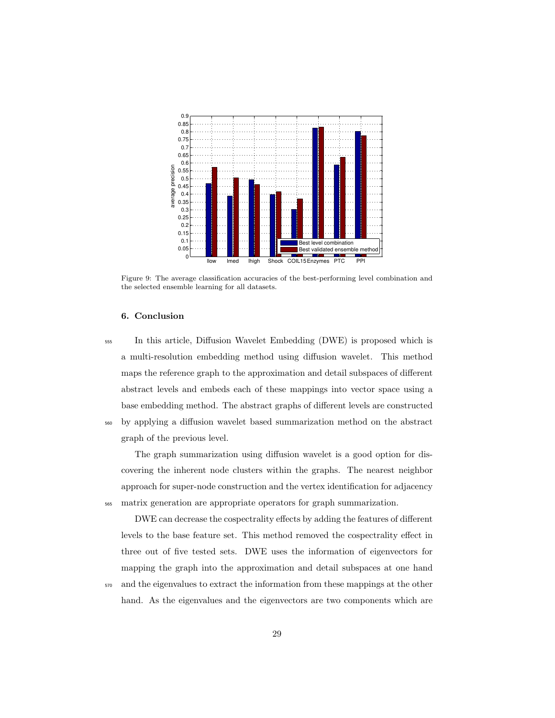

Figure 9: The average classification accuracies of the best-performing level combination and the selected ensemble learning for all datasets.

# 6. Conclusion

<sup>555</sup> In this article, Diffusion Wavelet Embedding (DWE) is proposed which is a multi-resolution embedding method using diffusion wavelet. This method maps the reference graph to the approximation and detail subspaces of different abstract levels and embeds each of these mappings into vector space using a base embedding method. The abstract graphs of different levels are constructed <sup>560</sup> by applying a diffusion wavelet based summarization method on the abstract graph of the previous level.

The graph summarization using diffusion wavelet is a good option for discovering the inherent node clusters within the graphs. The nearest neighbor approach for super-node construction and the vertex identification for adjacency <sup>565</sup> matrix generation are appropriate operators for graph summarization.

DWE can decrease the cospectrality effects by adding the features of different levels to the base feature set. This method removed the cospectrality effect in three out of five tested sets. DWE uses the information of eigenvectors for mapping the graph into the approximation and detail subspaces at one hand <sup>570</sup> and the eigenvalues to extract the information from these mappings at the other hand. As the eigenvalues and the eigenvectors are two components which are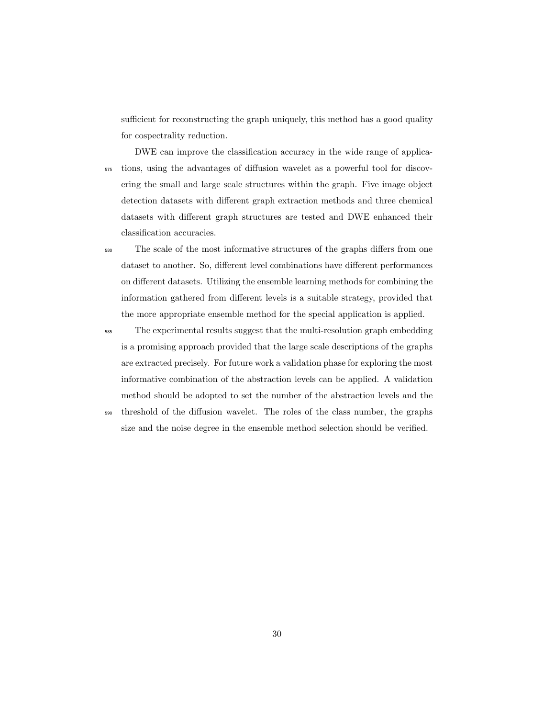sufficient for reconstructing the graph uniquely, this method has a good quality for cospectrality reduction.

DWE can improve the classification accuracy in the wide range of applica-<sup>575</sup> tions, using the advantages of diffusion wavelet as a powerful tool for discovering the small and large scale structures within the graph. Five image object detection datasets with different graph extraction methods and three chemical datasets with different graph structures are tested and DWE enhanced their classification accuracies.

<sup>580</sup> The scale of the most informative structures of the graphs differs from one dataset to another. So, different level combinations have different performances on different datasets. Utilizing the ensemble learning methods for combining the information gathered from different levels is a suitable strategy, provided that the more appropriate ensemble method for the special application is applied.

<sup>585</sup> The experimental results suggest that the multi-resolution graph embedding is a promising approach provided that the large scale descriptions of the graphs are extracted precisely. For future work a validation phase for exploring the most informative combination of the abstraction levels can be applied. A validation method should be adopted to set the number of the abstraction levels and the

<sup>590</sup> threshold of the diffusion wavelet. The roles of the class number, the graphs size and the noise degree in the ensemble method selection should be verified.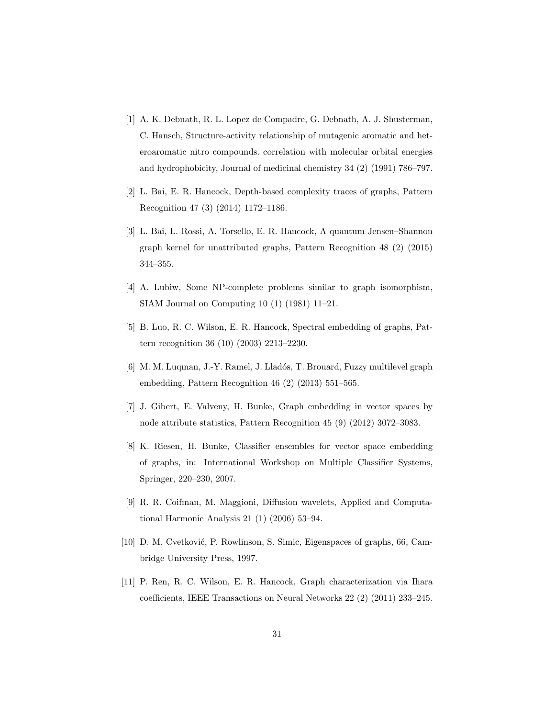- [1] A. K. Debnath, R. L. Lopez de Compadre, G. Debnath, A. J. Shusterman, C. Hansch, Structure-activity relationship of mutagenic aromatic and heteroaromatic nitro compounds. correlation with molecular orbital energies and hydrophobicity, Journal of medicinal chemistry 34 (2) (1991) 786–797.
- [2] L. Bai, E. R. Hancock, Depth-based complexity traces of graphs, Pattern Recognition 47 (3) (2014) 1172–1186.
- [3] L. Bai, L. Rossi, A. Torsello, E. R. Hancock, A quantum Jensen–Shannon graph kernel for unattributed graphs, Pattern Recognition 48 (2) (2015) 344–355.
- [4] A. Lubiw, Some NP-complete problems similar to graph isomorphism, SIAM Journal on Computing 10 (1) (1981) 11–21.
- [5] B. Luo, R. C. Wilson, E. R. Hancock, Spectral embedding of graphs, Pattern recognition 36 (10) (2003) 2213–2230.
- [6] M. M. Luqman, J.-Y. Ramel, J. Lladós, T. Brouard, Fuzzy multilevel graph embedding, Pattern Recognition 46 (2) (2013) 551–565.
- [7] J. Gibert, E. Valveny, H. Bunke, Graph embedding in vector spaces by node attribute statistics, Pattern Recognition 45 (9) (2012) 3072–3083.
- [8] K. Riesen, H. Bunke, Classifier ensembles for vector space embedding of graphs, in: International Workshop on Multiple Classifier Systems, Springer, 220–230, 2007.
- [9] R. R. Coifman, M. Maggioni, Diffusion wavelets, Applied and Computational Harmonic Analysis 21 (1) (2006) 53–94.
- [10] D. M. Cvetković, P. Rowlinson, S. Simic, Eigenspaces of graphs, 66, Cambridge University Press, 1997.
- [11] P. Ren, R. C. Wilson, E. R. Hancock, Graph characterization via Ihara coefficients, IEEE Transactions on Neural Networks 22 (2) (2011) 233–245.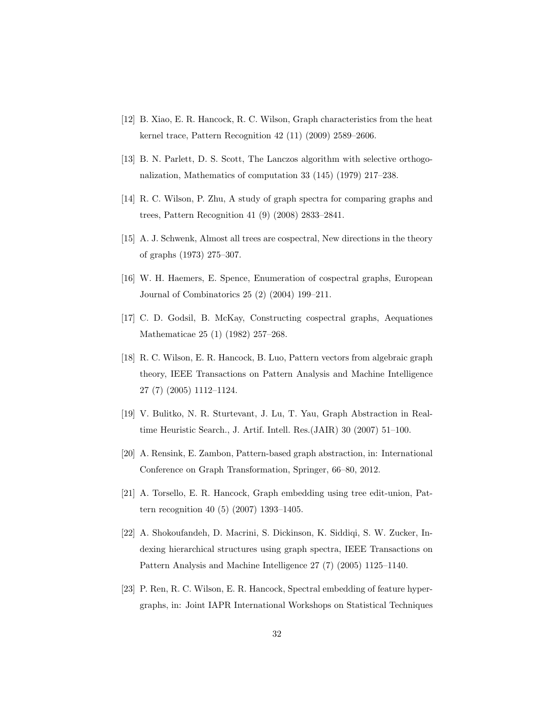- [12] B. Xiao, E. R. Hancock, R. C. Wilson, Graph characteristics from the heat kernel trace, Pattern Recognition 42 (11) (2009) 2589–2606.
- [13] B. N. Parlett, D. S. Scott, The Lanczos algorithm with selective orthogonalization, Mathematics of computation 33 (145) (1979) 217–238.
- [14] R. C. Wilson, P. Zhu, A study of graph spectra for comparing graphs and trees, Pattern Recognition 41 (9) (2008) 2833–2841.
- [15] A. J. Schwenk, Almost all trees are cospectral, New directions in the theory of graphs (1973) 275–307.
- [16] W. H. Haemers, E. Spence, Enumeration of cospectral graphs, European Journal of Combinatorics 25 (2) (2004) 199–211.
- [17] C. D. Godsil, B. McKay, Constructing cospectral graphs, Aequationes Mathematicae 25 (1) (1982) 257–268.
- [18] R. C. Wilson, E. R. Hancock, B. Luo, Pattern vectors from algebraic graph theory, IEEE Transactions on Pattern Analysis and Machine Intelligence 27 (7) (2005) 1112–1124.
- [19] V. Bulitko, N. R. Sturtevant, J. Lu, T. Yau, Graph Abstraction in Realtime Heuristic Search., J. Artif. Intell. Res.(JAIR) 30 (2007) 51–100.
- [20] A. Rensink, E. Zambon, Pattern-based graph abstraction, in: International Conference on Graph Transformation, Springer, 66–80, 2012.
- [21] A. Torsello, E. R. Hancock, Graph embedding using tree edit-union, Pattern recognition 40 (5) (2007) 1393–1405.
- [22] A. Shokoufandeh, D. Macrini, S. Dickinson, K. Siddiqi, S. W. Zucker, Indexing hierarchical structures using graph spectra, IEEE Transactions on Pattern Analysis and Machine Intelligence 27 (7) (2005) 1125–1140.
- [23] P. Ren, R. C. Wilson, E. R. Hancock, Spectral embedding of feature hypergraphs, in: Joint IAPR International Workshops on Statistical Techniques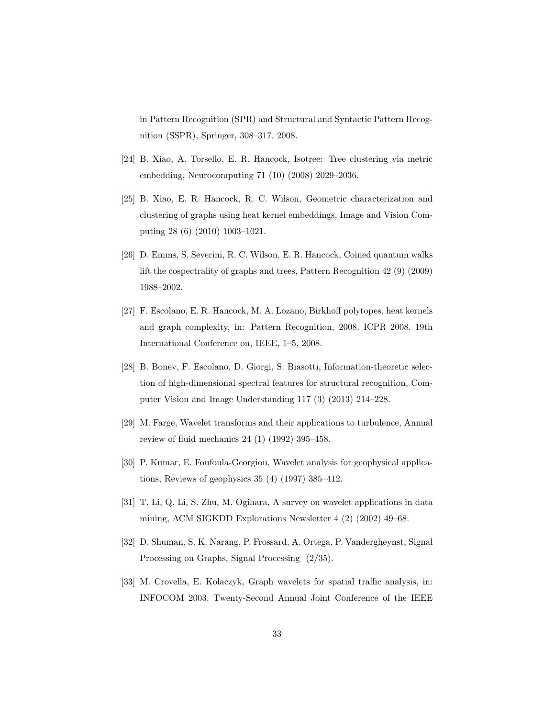in Pattern Recognition (SPR) and Structural and Syntactic Pattern Recognition (SSPR), Springer, 308–317, 2008.

- [24] B. Xiao, A. Torsello, E. R. Hancock, Isotree: Tree clustering via metric embedding, Neurocomputing 71 (10) (2008) 2029–2036.
- [25] B. Xiao, E. R. Hancock, R. C. Wilson, Geometric characterization and clustering of graphs using heat kernel embeddings, Image and Vision Computing 28 (6) (2010) 1003–1021.
- [26] D. Emms, S. Severini, R. C. Wilson, E. R. Hancock, Coined quantum walks lift the cospectrality of graphs and trees, Pattern Recognition 42 (9) (2009) 1988–2002.
- [27] F. Escolano, E. R. Hancock, M. A. Lozano, Birkhoff polytopes, heat kernels and graph complexity, in: Pattern Recognition, 2008. ICPR 2008. 19th International Conference on, IEEE, 1–5, 2008.
- [28] B. Bonev, F. Escolano, D. Giorgi, S. Biasotti, Information-theoretic selection of high-dimensional spectral features for structural recognition, Computer Vision and Image Understanding 117 (3) (2013) 214–228.
- [29] M. Farge, Wavelet transforms and their applications to turbulence, Annual review of fluid mechanics 24 (1) (1992) 395–458.
- [30] P. Kumar, E. Foufoula-Georgiou, Wavelet analysis for geophysical applications, Reviews of geophysics 35 (4) (1997) 385–412.
- [31] T. Li, Q. Li, S. Zhu, M. Ogihara, A survey on wavelet applications in data mining, ACM SIGKDD Explorations Newsletter 4 (2) (2002) 49–68.
- [32] D. Shuman, S. K. Narang, P. Frossard, A. Ortega, P. Vandergheynst, Signal Processing on Graphs, Signal Processing (2/35).
- [33] M. Crovella, E. Kolaczyk, Graph wavelets for spatial traffic analysis, in: INFOCOM 2003. Twenty-Second Annual Joint Conference of the IEEE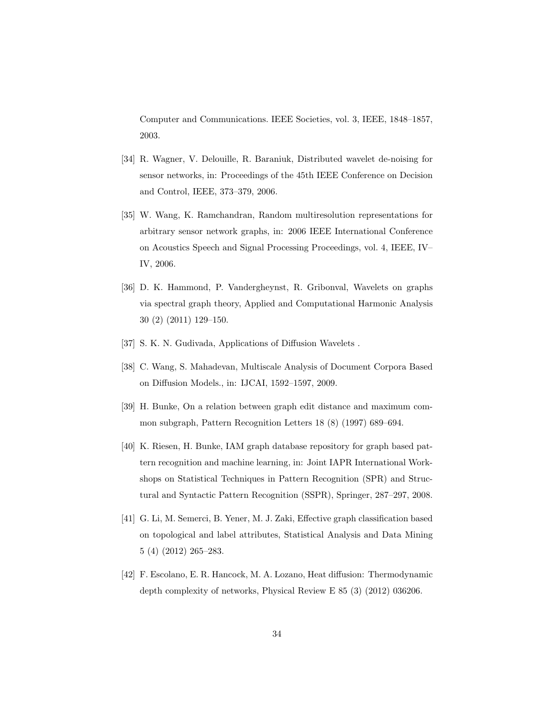Computer and Communications. IEEE Societies, vol. 3, IEEE, 1848–1857, 2003.

- [34] R. Wagner, V. Delouille, R. Baraniuk, Distributed wavelet de-noising for sensor networks, in: Proceedings of the 45th IEEE Conference on Decision and Control, IEEE, 373–379, 2006.
- [35] W. Wang, K. Ramchandran, Random multiresolution representations for arbitrary sensor network graphs, in: 2006 IEEE International Conference on Acoustics Speech and Signal Processing Proceedings, vol. 4, IEEE, IV– IV, 2006.
- [36] D. K. Hammond, P. Vandergheynst, R. Gribonval, Wavelets on graphs via spectral graph theory, Applied and Computational Harmonic Analysis 30 (2) (2011) 129–150.
- [37] S. K. N. Gudivada, Applications of Diffusion Wavelets.
- [38] C. Wang, S. Mahadevan, Multiscale Analysis of Document Corpora Based on Diffusion Models., in: IJCAI, 1592–1597, 2009.
- [39] H. Bunke, On a relation between graph edit distance and maximum common subgraph, Pattern Recognition Letters 18 (8) (1997) 689–694.
- [40] K. Riesen, H. Bunke, IAM graph database repository for graph based pattern recognition and machine learning, in: Joint IAPR International Workshops on Statistical Techniques in Pattern Recognition (SPR) and Structural and Syntactic Pattern Recognition (SSPR), Springer, 287–297, 2008.
- [41] G. Li, M. Semerci, B. Yener, M. J. Zaki, Effective graph classification based on topological and label attributes, Statistical Analysis and Data Mining 5 (4) (2012) 265–283.
- [42] F. Escolano, E. R. Hancock, M. A. Lozano, Heat diffusion: Thermodynamic depth complexity of networks, Physical Review E 85 (3) (2012) 036206.